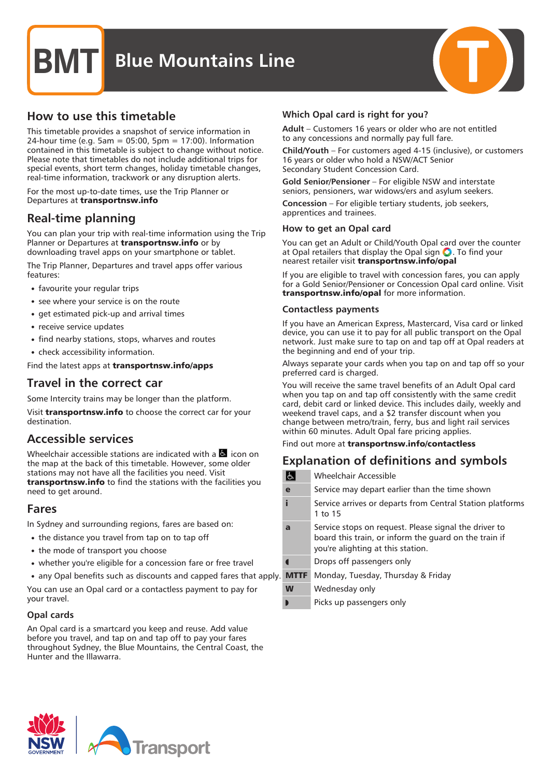### **Blue Mountains Line**



This timetable provides a snapshot of service information in 24-hour time (e.g. 5am = 05:00, 5pm = 17:00). Information contained in this timetable is subject to change without notice. Please note that timetables do not include additional trips for special events, short term changes, holiday timetable changes, real-time information, trackwork or any disruption alerts.

For the most up-to-date times, use the Trip Planner or Departures at transportnsw.info

### Real-time planning

You can plan your trip with real-time information using the Trip Planner or Departures at **transportnsw.info** or by downloading travel apps on your smartphone or tablet.

The Trip Planner, Departures and travel apps offer various features:

- favourite your regular trips
- see where your service is on the route
- get estimated pick-up and arrival times
- receive service updates
- find nearby stations, stops, wharves and routes
- check accessibility information.

Find the latest apps at transportnsw.info/apps

### Travel in the correct car

Some Intercity trains may be longer than the platform.

Visit **transportnsw.info** to choose the correct car for your destination.

### Accessible services

Wheelchair accessible stations are indicated with a  $\blacksquare$  icon on the map at the back of this timetable. However, some older stations may not have all the facilities you need. Visit transportnsw.info to find the stations with the facilities you need to get around.

### Fares

In Sydney and surrounding regions, fares are based on:

- the distance you travel from tap on to tap off
- the mode of transport you choose
- whether you're eligible for a concession fare or free travel
- any Opal benefits such as discounts and capped fares that apply.

You can use an Opal card or a contactless payment to pay for your travel.

### Opal cards

An Opal card is a smartcard you keep and reuse. Add value before you travel, and tap on and tap off to pay your fares throughout Sydney, the Blue Mountains, the Central Coast, the Hunter and the Illawarra.



Adult – Customers 16 years or older who are not entitled to any concessions and normally pay full fare.

Child/Youth – For customers aged 4-15 (inclusive), or customers 16 years or older who hold a NSW/ACT Senior Secondary Student Concession Card.

Gold Senior/Pensioner – For eligible NSW and interstate seniors, pensioners, war widows/ers and asylum seekers.

Concession – For eligible tertiary students, job seekers, apprentices and trainees.

### How to get an Opal card

You can get an Adult or Child/Youth Opal card over the counter at Opal retailers that display the Opal sign  $\bigcirc$ . To find your nearest retailer visit transportnsw.info/opal

If you are eligible to travel with concession fares, you can apply for a Gold Senior/Pensioner or Concession Opal card online. Visit transportnsw.info/opal for more information.

### Contactless payments

If you have an American Express, Mastercard, Visa card or linked device, you can use it to pay for all public transport on the Opal network. Just make sure to tap on and tap off at Opal readers at the beginning and end of your trip.

Always separate your cards when you tap on and tap off so your preferred card is charged.

You will receive the same travel benefits of an Adult Opal card when you tap on and tap off consistently with the same credit card, debit card or linked device. This includes daily, weekly and weekend travel caps, and a \$2 transfer discount when you change between metro/train, ferry, bus and light rail services within 60 minutes. Adult Opal fare pricing applies.

### Find out more at transportnsw.info/contactless

### Explanation of definitions and symbols

 $|t|$ Wheelchair Accessible e Service may depart earlier than the time shown i Service arrives or departs from Central Station platforms 1 to 15 **a** Service stops on request. Please signal the driver to board this train, or inform the guard on the train if you're alighting at this station. Drops off passengers only **MTTF** Monday, Tuesday, Thursday & Friday W Wednesday only г Picks up passengers only

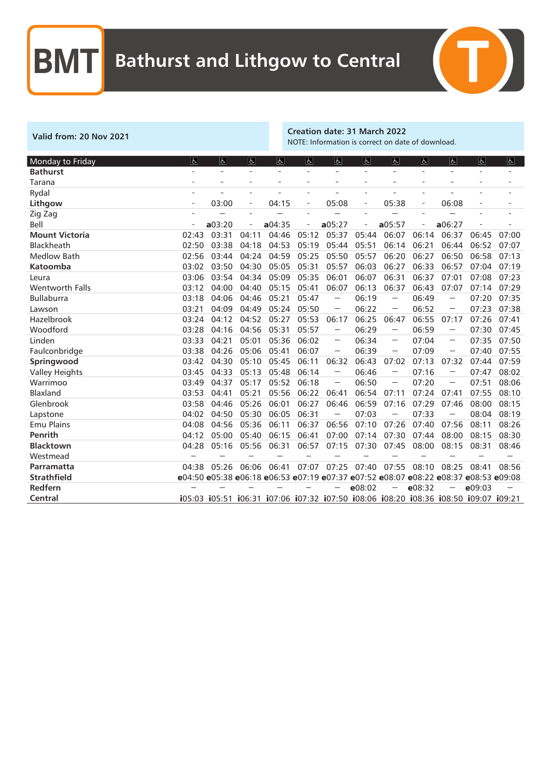

### Valid from: 20 Nov 2021 Creation date: 31 March 2022 NOTE: Information is correct on date of download.

| Monday to Friday       | $\overline{d}$ | ۱ę     | lė.                      | Ġ.     | 氐                        | 占                                                                                                                                                                                                                                                                                                                                                                                                                                                                             | と      | しん                                                                                                                                               | $\overline{a}$           | Ġ.                                                                                                                                                                                                                                                                                                                                                                                                                       | と                                                                                   | $\mathbf{f}$ |
|------------------------|----------------|--------|--------------------------|--------|--------------------------|-------------------------------------------------------------------------------------------------------------------------------------------------------------------------------------------------------------------------------------------------------------------------------------------------------------------------------------------------------------------------------------------------------------------------------------------------------------------------------|--------|--------------------------------------------------------------------------------------------------------------------------------------------------|--------------------------|--------------------------------------------------------------------------------------------------------------------------------------------------------------------------------------------------------------------------------------------------------------------------------------------------------------------------------------------------------------------------------------------------------------------------|-------------------------------------------------------------------------------------|--------------|
| <b>Bathurst</b>        |                |        |                          |        | ÷                        |                                                                                                                                                                                                                                                                                                                                                                                                                                                                               |        |                                                                                                                                                  |                          |                                                                                                                                                                                                                                                                                                                                                                                                                          |                                                                                     |              |
| Tarana                 |                |        |                          |        | $\overline{a}$           |                                                                                                                                                                                                                                                                                                                                                                                                                                                                               |        |                                                                                                                                                  | $\overline{a}$           |                                                                                                                                                                                                                                                                                                                                                                                                                          | $\overline{a}$                                                                      |              |
| Rydal                  |                |        |                          |        | ÷.                       |                                                                                                                                                                                                                                                                                                                                                                                                                                                                               |        |                                                                                                                                                  | $\sim$                   |                                                                                                                                                                                                                                                                                                                                                                                                                          |                                                                                     |              |
| Lithgow                |                | 03:00  | $\overline{\phantom{0}}$ | 04:15  | $\overline{\phantom{a}}$ | 05:08                                                                                                                                                                                                                                                                                                                                                                                                                                                                         |        | 05:38                                                                                                                                            | $\overline{\phantom{0}}$ | 06:08                                                                                                                                                                                                                                                                                                                                                                                                                    | ÷                                                                                   |              |
| Zig Zag                |                |        |                          |        |                          |                                                                                                                                                                                                                                                                                                                                                                                                                                                                               |        |                                                                                                                                                  |                          |                                                                                                                                                                                                                                                                                                                                                                                                                          |                                                                                     |              |
| Bell                   |                | a03:20 |                          | a04:35 | $\overline{a}$           | a05:27                                                                                                                                                                                                                                                                                                                                                                                                                                                                        |        | a05:57                                                                                                                                           |                          | a06:27                                                                                                                                                                                                                                                                                                                                                                                                                   |                                                                                     |              |
| <b>Mount Victoria</b>  | 02:43          | 03:31  | 04:11                    | 04:46  | 05:12                    | 05:37                                                                                                                                                                                                                                                                                                                                                                                                                                                                         | 05:44  | 06:07                                                                                                                                            | 06:14                    | 06:37                                                                                                                                                                                                                                                                                                                                                                                                                    | 06:45                                                                               | 07:00        |
| Blackheath             | 02:50          | 03:38  | 04:18                    | 04:53  | 05:19                    | 05:44                                                                                                                                                                                                                                                                                                                                                                                                                                                                         | 05:51  | 06:14                                                                                                                                            | 06:21                    | 06:44                                                                                                                                                                                                                                                                                                                                                                                                                    | 06:52                                                                               | 07:07        |
| <b>Medlow Bath</b>     | 02:56          | 03:44  | 04:24                    | 04:59  | 05:25                    | 05:50                                                                                                                                                                                                                                                                                                                                                                                                                                                                         | 05:57  | 06:20                                                                                                                                            | 06:27                    | 06:50                                                                                                                                                                                                                                                                                                                                                                                                                    | 06:58                                                                               | 07:13        |
| <b>Katoomba</b>        | 03:02          | 03:50  | 04:30                    | 05:05  | 05:31                    | 05:57                                                                                                                                                                                                                                                                                                                                                                                                                                                                         | 06:03  | 06:27                                                                                                                                            | 06:33                    | 06:57                                                                                                                                                                                                                                                                                                                                                                                                                    | 07:04                                                                               | 07:19        |
| Leura                  | 03:06          | 03:54  | 04:34                    | 05:09  | 05:35                    | 06:01                                                                                                                                                                                                                                                                                                                                                                                                                                                                         | 06:07  | 06:31                                                                                                                                            | 06:37                    | 07:01                                                                                                                                                                                                                                                                                                                                                                                                                    | 07:08                                                                               | 07:23        |
| <b>Wentworth Falls</b> | 03:12          | 04:00  | 04:40                    | 05:15  | 05:41                    | 06:07                                                                                                                                                                                                                                                                                                                                                                                                                                                                         | 06:13  | 06:37                                                                                                                                            | 06:43                    | 07:07                                                                                                                                                                                                                                                                                                                                                                                                                    | 07:14                                                                               | 07:29        |
| <b>Bullaburra</b>      | 03:18          | 04:06  | 04:46                    | 05:21  | 05:47                    | $\sim$                                                                                                                                                                                                                                                                                                                                                                                                                                                                        | 06:19  | $\sim$                                                                                                                                           | 06:49                    | $\sim$                                                                                                                                                                                                                                                                                                                                                                                                                   | 07:20                                                                               | 07:35        |
| Lawson                 | 03:21          | 04:09  | 04:49                    | 05:24  | 05:50                    | $\label{eq:1} \begin{split} \mathcal{L}_{\text{G}}(\mathcal{L}_{\text{G}}) = \mathcal{L}_{\text{G}}(\mathcal{L}_{\text{G}}) \end{split}$                                                                                                                                                                                                                                                                                                                                      | 06:22  |                                                                                                                                                  | 06:52                    | $\sim$                                                                                                                                                                                                                                                                                                                                                                                                                   | 07:23                                                                               | 07:38        |
| Hazelbrook             | 03:24          | 04:12  | 04:52                    | 05:27  | 05:53                    | 06:17                                                                                                                                                                                                                                                                                                                                                                                                                                                                         | 06:25  | 06:47                                                                                                                                            | 06:55                    | 07:17                                                                                                                                                                                                                                                                                                                                                                                                                    | 07:26                                                                               | 07:41        |
| Woodford               | 03:28          | 04:16  | 04:56                    | 05:31  | 05:57                    | $\sim$                                                                                                                                                                                                                                                                                                                                                                                                                                                                        | 06:29  | $\sim$                                                                                                                                           | 06:59                    | $\sim$                                                                                                                                                                                                                                                                                                                                                                                                                   | 07:30                                                                               | 07:45        |
| Linden                 | 03:33          | 04:21  | 05:01                    | 05:36  | 06:02                    | $\label{eq:1} \begin{split} \mathcal{L}_{\text{MSE}}(\mathbf{r},\mathbf{r}) = \mathcal{L}_{\text{MSE}}(\mathbf{r},\mathbf{r}) \\ \mathcal{L}_{\text{MSE}}(\mathbf{r},\mathbf{r}) = \mathcal{L}_{\text{MSE}}(\mathbf{r},\mathbf{r}) \\ \mathcal{L}_{\text{MSE}}(\mathbf{r},\mathbf{r}) = \mathcal{L}_{\text{MSE}}(\mathbf{r},\mathbf{r}) \\ \mathcal{L}_{\text{MSE}}(\mathbf{r},\mathbf{r}) = \mathcal{L}_{\text{MSE}}(\mathbf{r},\mathbf{r}) \\ \mathcal{L}_{\text$           | 06:34  | $\label{eq:1} \begin{split} \mathcal{L}_{\text{max}}(\mathcal{L}_{\text{max}}) = \mathcal{L}_{\text{max}}(\mathcal{L}_{\text{max}}) \end{split}$ | 07:04                    | $\label{eq:1} \begin{aligned} \mathcal{L}^{(1)}(x) &= \mathcal{L}^{(1)}(x) \otimes \mathcal{L}^{(2)}(x) \otimes \mathcal{L}^{(1)}(x) \otimes \mathcal{L}^{(2)}(x) \otimes \mathcal{L}^{(1)}(x) \otimes \mathcal{L}^{(2)}(x) \otimes \mathcal{L}^{(1)}(x) \otimes \mathcal{L}^{(1)}(x) \otimes \mathcal{L}^{(1)}(x) \otimes \mathcal{L}^{(1)}(x) \otimes \mathcal{L}^{(1)}(x) \otimes \mathcal{L}^{(1)}(x) \otimes \math$ | 07:35                                                                               | 07:50        |
| Faulconbridge          | 03:38          | 04:26  | 05:06                    | 05:41  | 06:07                    |                                                                                                                                                                                                                                                                                                                                                                                                                                                                               | 06:39  |                                                                                                                                                  | 07:09                    |                                                                                                                                                                                                                                                                                                                                                                                                                          | 07:40                                                                               | 07:55        |
| Springwood             | 03:42          | 04:30  | 05:10                    | 05:45  | 06:11                    | 06:32                                                                                                                                                                                                                                                                                                                                                                                                                                                                         | 06:43  | 07:02                                                                                                                                            | 07:13                    | 07:32                                                                                                                                                                                                                                                                                                                                                                                                                    | 07:44                                                                               | 07:59        |
| <b>Valley Heights</b>  | 03:45          | 04:33  | 05:13                    | 05:48  | 06:14                    | $\sim$                                                                                                                                                                                                                                                                                                                                                                                                                                                                        | 06:46  |                                                                                                                                                  | 07:16                    |                                                                                                                                                                                                                                                                                                                                                                                                                          | 07:47                                                                               | 08:02        |
| Warrimoo               | 03:49          | 04:37  | 05:17                    | 05:52  | 06:18                    | $\label{eq:1} \begin{aligned} \frac{1}{2} \left( \frac{1}{2} \right) \left( \frac{1}{2} \right) \left( \frac{1}{2} \right) \left( \frac{1}{2} \right) \left( \frac{1}{2} \right) \left( \frac{1}{2} \right) \left( \frac{1}{2} \right) \left( \frac{1}{2} \right) \left( \frac{1}{2} \right) \left( \frac{1}{2} \right) \left( \frac{1}{2} \right) \left( \frac{1}{2} \right) \left( \frac{1}{2} \right) \left( \frac{1}{2} \right) \left( \frac{1}{2} \right) \left( \frac{$ | 06:50  | $\sim$                                                                                                                                           | 07:20                    | $\label{eq:1} \begin{aligned} \mathcal{L}_{\text{max}}(\mathcal{L}_{\text{max}}) = \mathcal{L}_{\text{max}}(\mathcal{L}_{\text{max}}) \end{aligned}$                                                                                                                                                                                                                                                                     | 07:51                                                                               | 08:06        |
| Blaxland               | 03:53          | 04:41  | 05:21                    | 05:56  | 06:22                    | 06:41                                                                                                                                                                                                                                                                                                                                                                                                                                                                         | 06:54  | 07:11                                                                                                                                            | 07:24                    | 07:41                                                                                                                                                                                                                                                                                                                                                                                                                    | 07:55                                                                               | 08:10        |
| Glenbrook              | 03:58          | 04:46  | 05:26                    | 06:01  | 06:27                    | 06:46                                                                                                                                                                                                                                                                                                                                                                                                                                                                         | 06:59  | 07:16                                                                                                                                            | 07:29                    | 07:46                                                                                                                                                                                                                                                                                                                                                                                                                    | 08:00                                                                               | 08:15        |
| Lapstone               | 04:02          | 04:50  | 05:30                    | 06:05  | 06:31                    |                                                                                                                                                                                                                                                                                                                                                                                                                                                                               | 07:03  |                                                                                                                                                  | 07:33                    |                                                                                                                                                                                                                                                                                                                                                                                                                          | 08:04                                                                               | 08:19        |
| <b>Emu Plains</b>      | 04:08          | 04:56  | 05:36                    | 06:11  | 06:37                    | 06:56                                                                                                                                                                                                                                                                                                                                                                                                                                                                         | 07:10  | 07:26                                                                                                                                            | 07:40                    | 07:56                                                                                                                                                                                                                                                                                                                                                                                                                    | 08:11                                                                               | 08:26        |
| Penrith                | 04:12          | 05:00  | 05:40                    | 06:15  | 06:41                    | 07:00                                                                                                                                                                                                                                                                                                                                                                                                                                                                         | 07:14  | 07:30                                                                                                                                            | 07:44                    | 08:00                                                                                                                                                                                                                                                                                                                                                                                                                    | 08:15                                                                               | 08:30        |
| <b>Blacktown</b>       | 04:28          | 05:16  | 05:56                    | 06:31  | 06:57                    | 07:15                                                                                                                                                                                                                                                                                                                                                                                                                                                                         | 07:30  | 07:45                                                                                                                                            | 08:00                    | 08:15                                                                                                                                                                                                                                                                                                                                                                                                                    | 08:31                                                                               | 08:46        |
| Westmead               |                |        |                          |        |                          |                                                                                                                                                                                                                                                                                                                                                                                                                                                                               |        |                                                                                                                                                  |                          |                                                                                                                                                                                                                                                                                                                                                                                                                          |                                                                                     |              |
| Parramatta             | 04:38          | 05:26  | 06:06                    | 06:41  | 07:07                    | 07:25                                                                                                                                                                                                                                                                                                                                                                                                                                                                         | 07:40  | 07:55                                                                                                                                            | 08:10                    | 08:25                                                                                                                                                                                                                                                                                                                                                                                                                    | 08:41                                                                               | 08:56        |
| <b>Strathfield</b>     |                |        |                          |        |                          |                                                                                                                                                                                                                                                                                                                                                                                                                                                                               |        |                                                                                                                                                  |                          |                                                                                                                                                                                                                                                                                                                                                                                                                          | e04:50 e05:38 e06:18 e06:53 e07:19 e07:37 e07:52 e08:07 e08:22 e08:37 e08:53 e09:08 |              |
| Redfern                |                |        |                          |        |                          |                                                                                                                                                                                                                                                                                                                                                                                                                                                                               | e08:02 |                                                                                                                                                  | e08:32                   |                                                                                                                                                                                                                                                                                                                                                                                                                          | e09:03                                                                              |              |
| Central                |                |        |                          |        |                          |                                                                                                                                                                                                                                                                                                                                                                                                                                                                               |        |                                                                                                                                                  |                          |                                                                                                                                                                                                                                                                                                                                                                                                                          | i05:03 i05:51 i06:31 i07:06 i07:32 i07:50 i08:06 i08:20 i08:36 i08:50 i09:07 i09:21 |              |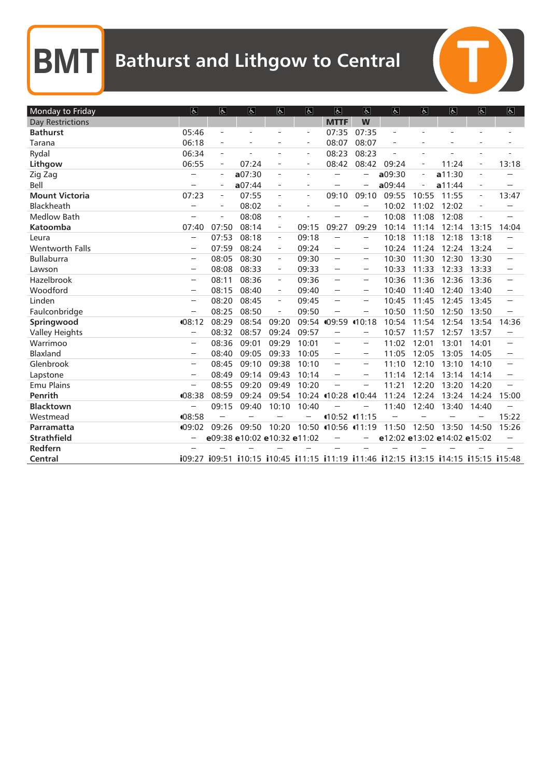| Monday to Friday        | $ \mathbf{F} $                                                                                                                                                                                                                                                                                                                                                                                                                                                      | $\overline{6}$           | $\overline{6}$              | $\overline{\mathcal{L}}$ | $\mathfrak{S}$           | $\vert \mathbf{F} \vert$ | $\overline{P}$                                                                                                                                                                               | $\overline{6}$ | $\overline{6}$           | $\mathfrak{S}$                                                                      | $\overline{6}$           | $\overline{f}$                                                             |
|-------------------------|---------------------------------------------------------------------------------------------------------------------------------------------------------------------------------------------------------------------------------------------------------------------------------------------------------------------------------------------------------------------------------------------------------------------------------------------------------------------|--------------------------|-----------------------------|--------------------------|--------------------------|--------------------------|----------------------------------------------------------------------------------------------------------------------------------------------------------------------------------------------|----------------|--------------------------|-------------------------------------------------------------------------------------|--------------------------|----------------------------------------------------------------------------|
| <b>Day Restrictions</b> |                                                                                                                                                                                                                                                                                                                                                                                                                                                                     |                          |                             |                          |                          | <b>MTTF</b>              | W                                                                                                                                                                                            |                |                          |                                                                                     |                          |                                                                            |
| <b>Bathurst</b>         | 05:46                                                                                                                                                                                                                                                                                                                                                                                                                                                               | $\bar{ }$                | ÷,                          | ÷                        | $\bar{ }$                | 07:35                    | 07:35                                                                                                                                                                                        | $\bar{ }$      |                          |                                                                                     | $\equiv$                 |                                                                            |
| Tarana                  | 06:18                                                                                                                                                                                                                                                                                                                                                                                                                                                               |                          |                             |                          |                          | 08:07                    | 08:07                                                                                                                                                                                        |                |                          |                                                                                     |                          |                                                                            |
| Rydal                   | 06:34                                                                                                                                                                                                                                                                                                                                                                                                                                                               | $\bar{ }$                |                             | ÷                        | $\equiv$                 | 08:23                    | 08:23                                                                                                                                                                                        |                | $\sim$                   |                                                                                     | $\equiv$                 |                                                                            |
| Lithgow                 | 06:55                                                                                                                                                                                                                                                                                                                                                                                                                                                               | $\overline{\phantom{a}}$ | 07:24                       | $\overline{\phantom{a}}$ | $\overline{\phantom{m}}$ | 08:42                    | 08:42                                                                                                                                                                                        | 09:24          | $\overline{\phantom{a}}$ | 11:24                                                                               | ÷                        | 13:18                                                                      |
| Zig Zag                 |                                                                                                                                                                                                                                                                                                                                                                                                                                                                     | $\equiv$                 | a07:30                      | $\overline{\phantom{a}}$ | ÷.                       |                          |                                                                                                                                                                                              | a09:30         | $\overline{a}$           | a11:30                                                                              | $\equiv$                 |                                                                            |
| Bell                    |                                                                                                                                                                                                                                                                                                                                                                                                                                                                     | $\overline{\phantom{a}}$ | a07:44                      | $\overline{\phantom{a}}$ | $\overline{\phantom{a}}$ |                          |                                                                                                                                                                                              | a09:44         |                          | a11:44                                                                              | $\overline{\phantom{a}}$ |                                                                            |
| <b>Mount Victoria</b>   | 07:23                                                                                                                                                                                                                                                                                                                                                                                                                                                               | $\overline{\phantom{a}}$ | 07:55                       | $\overline{\phantom{a}}$ | ÷                        | 09:10                    | 09:10                                                                                                                                                                                        | 09:55          | 10:55                    | 11:55                                                                               | ÷                        | 13:47                                                                      |
| Blackheath              | $\sim$                                                                                                                                                                                                                                                                                                                                                                                                                                                              | $\overline{\phantom{a}}$ | 08:02                       | $\overline{\phantom{a}}$ |                          |                          |                                                                                                                                                                                              | 10:02          | 11:02                    | 12:02                                                                               | $\overline{\phantom{a}}$ |                                                                            |
| <b>Medlow Bath</b>      |                                                                                                                                                                                                                                                                                                                                                                                                                                                                     | $\sim$                   | 08:08                       | $\bar{\phantom{a}}$      |                          |                          |                                                                                                                                                                                              | 10:08          | 11:08                    | 12:08                                                                               |                          |                                                                            |
| Katoomba                | 07:40                                                                                                                                                                                                                                                                                                                                                                                                                                                               | 07:50                    | 08:14                       | $\bar{ }$                | 09:15                    | 09:27                    | 09:29                                                                                                                                                                                        | 10:14          | 11:14                    | 12:14                                                                               | 13:15                    | 14:04                                                                      |
| Leura                   | $\overline{a}$                                                                                                                                                                                                                                                                                                                                                                                                                                                      | 07:53                    | 08:18                       | $\overline{\phantom{a}}$ | 09:18                    |                          |                                                                                                                                                                                              | 10:18          | 11:18                    | 12:18                                                                               | 13:18                    |                                                                            |
| <b>Wentworth Falls</b>  | $\sim$                                                                                                                                                                                                                                                                                                                                                                                                                                                              | 07:59                    | 08:24                       | $\overline{\phantom{a}}$ | 09:24                    |                          | $\sim$                                                                                                                                                                                       | 10:24          | 11:24                    | 12:24                                                                               | 13:24                    |                                                                            |
| <b>Bullaburra</b>       |                                                                                                                                                                                                                                                                                                                                                                                                                                                                     | 08:05                    | 08:30                       | $\overline{\phantom{m}}$ | 09:30                    |                          | $\label{eq:1} \begin{aligned} \mathcal{L}_{\text{MSE}}(\mathbf{r},\mathbf{r}) = \mathcal{L}_{\text{MSE}}(\mathbf{r},\mathbf{r}) \end{aligned}$                                               | 10:30          | 11:30                    | 12:30                                                                               | 13:30                    | $\frac{1}{2}$                                                              |
| Lawson                  | $\sim$                                                                                                                                                                                                                                                                                                                                                                                                                                                              | 08:08                    | 08:33                       | $\overline{\phantom{a}}$ | 09:33                    | $\overline{a}$           | $\sim$                                                                                                                                                                                       | 10:33          | 11:33                    | 12:33                                                                               | 13:33                    | $\sim$                                                                     |
| Hazelbrook              | $\sim$                                                                                                                                                                                                                                                                                                                                                                                                                                                              | 08:11                    | 08:36                       | $\overline{\phantom{a}}$ | 09:36                    | $\overline{a}$           | $\label{eq:1} \begin{aligned} \mathcal{L}_{\text{M}}(\mathcal{L}_{\text{M}}(\mathcal{L}_{\text{M}})) = \mathcal{L}_{\text{M}}(\mathcal{L}_{\text{M}}(\mathcal{L}_{\text{M}})) \end{aligned}$ | 10:36          | 11:36                    | 12:36                                                                               | 13:36                    | $\sim$                                                                     |
| Woodford                | $\sim$                                                                                                                                                                                                                                                                                                                                                                                                                                                              | 08:15                    | 08:40                       | $\overline{\phantom{a}}$ | 09:40                    | $\sim$                   | $\sim$                                                                                                                                                                                       | 10:40          | 11:40                    | 12:40                                                                               | 13:40                    |                                                                            |
| Linden                  | $\frac{1}{2} \left( \frac{1}{2} \right)^{\frac{1}{2}} \left( \frac{1}{2} \right)^{\frac{1}{2}} \left( \frac{1}{2} \right)^{\frac{1}{2}} \left( \frac{1}{2} \right)^{\frac{1}{2}} \left( \frac{1}{2} \right)^{\frac{1}{2}} \left( \frac{1}{2} \right)^{\frac{1}{2}} \left( \frac{1}{2} \right)^{\frac{1}{2}} \left( \frac{1}{2} \right)^{\frac{1}{2}} \left( \frac{1}{2} \right)^{\frac{1}{2}} \left( \frac{1}{2} \right)^{\frac{1}{2}} \left( \frac{1}{2} \right)^$ | 08:20                    | 08:45                       | $\overline{\phantom{a}}$ | 09:45                    |                          | $\label{eq:1} \begin{aligned} \mathcal{L}_{\text{max}}(\mathcal{L}_{\text{max}}) = \mathcal{L}_{\text{max}}(\mathcal{L}_{\text{max}}) \end{aligned}$                                         | 10:45          | 11:45                    | 12:45                                                                               | 13:45                    |                                                                            |
| Faulconbridge           | $\overline{\phantom{a}}$                                                                                                                                                                                                                                                                                                                                                                                                                                            | 08:25                    | 08:50                       | ÷                        | 09:50                    |                          | $\sim$                                                                                                                                                                                       | 10:50          | 11:50                    | 12:50                                                                               | 13:50                    |                                                                            |
| Springwood              | 08:12                                                                                                                                                                                                                                                                                                                                                                                                                                                               | 08:29                    | 08:54                       | 09:20                    |                          | 09:54 (09:59)            | (10:18)                                                                                                                                                                                      | 10:54          | 11:54                    | 12:54                                                                               | 13:54                    | 14:36                                                                      |
| <b>Valley Heights</b>   | $\overline{a}$                                                                                                                                                                                                                                                                                                                                                                                                                                                      | 08:32                    | 08:57                       | 09:24                    | 09:57                    | $\overline{a}$           |                                                                                                                                                                                              | 10:57          | 11:57                    | 12:57                                                                               | 13:57                    |                                                                            |
| Warrimoo                | $\sim$                                                                                                                                                                                                                                                                                                                                                                                                                                                              | 08:36                    | 09:01                       | 09:29                    | 10:01                    | $\frac{1}{2}$            | $\sim$                                                                                                                                                                                       | 11:02          | 12:01                    | 13:01                                                                               | 14:01                    | $\frac{1}{2}$                                                              |
| Blaxland                |                                                                                                                                                                                                                                                                                                                                                                                                                                                                     | 08:40                    | 09:05                       | 09:33                    | 10:05                    |                          | $\sim$                                                                                                                                                                                       | 11:05          | 12:05                    | 13:05                                                                               | 14:05                    |                                                                            |
| Glenbrook               | $\sim$                                                                                                                                                                                                                                                                                                                                                                                                                                                              | 08:45                    | 09:10                       | 09:38                    | 10:10                    |                          | $\sim$                                                                                                                                                                                       | 11:10          | 12:10                    | 13:10                                                                               | 14:10                    |                                                                            |
| Lapstone                | $\sim$                                                                                                                                                                                                                                                                                                                                                                                                                                                              | 08:49                    | 09:14                       | 09:43                    | 10:14                    |                          | $\label{eq:1} \begin{aligned} \mathcal{L}_{\text{M}}(\mathcal{L}_{\text{M}}(\mathcal{L}_{\text{M}})) = \mathcal{L}_{\text{M}}(\mathcal{L}_{\text{M}}(\mathcal{L}_{\text{M}})) \end{aligned}$ | 11:14          | 12:14                    | 13:14                                                                               | 14:14                    | $\begin{array}{c} \begin{array}{c} 0 & 0 \\ 0 & 0 \end{array} \end{array}$ |
| <b>Emu Plains</b>       | $\frac{1}{2}$                                                                                                                                                                                                                                                                                                                                                                                                                                                       | 08:55                    | 09:20                       | 09:49                    | 10:20                    | $\overline{a}$           | $\sim$                                                                                                                                                                                       | 11:21          | 12:20                    | 13:20                                                                               | 14:20                    |                                                                            |
| Penrith                 | 408:38                                                                                                                                                                                                                                                                                                                                                                                                                                                              | 08:59                    | 09:24                       | 09:54                    |                          | 10:24 10:28 10:44        |                                                                                                                                                                                              | 11:24          | 12:24                    | 13:24                                                                               | 14:24                    | 15:00                                                                      |
| <b>Blacktown</b>        | $\overline{\phantom{a}}$                                                                                                                                                                                                                                                                                                                                                                                                                                            | 09:15                    | 09:40                       | 10:10                    | 10:40                    |                          |                                                                                                                                                                                              | 11:40          | 12:40                    | 13:40                                                                               | 14:40                    |                                                                            |
| Westmead                | 408:58                                                                                                                                                                                                                                                                                                                                                                                                                                                              |                          |                             |                          |                          |                          | 10:52 11:15                                                                                                                                                                                  |                |                          |                                                                                     |                          | 15:22                                                                      |
| Parramatta              | 09:02                                                                                                                                                                                                                                                                                                                                                                                                                                                               | 09:26                    | 09:50                       | 10:20                    |                          | 10:50 10:56 11:19        |                                                                                                                                                                                              | 11:50          | 12:50                    | 13:50                                                                               | 14:50                    | 15:26                                                                      |
| <b>Strathfield</b>      |                                                                                                                                                                                                                                                                                                                                                                                                                                                                     |                          | e09:38 e10:02 e10:32 e11:02 |                          |                          |                          |                                                                                                                                                                                              |                |                          | e12:02 e13:02 e14:02 e15:02                                                         |                          |                                                                            |
| Redfern                 |                                                                                                                                                                                                                                                                                                                                                                                                                                                                     |                          |                             |                          |                          |                          |                                                                                                                                                                                              |                |                          |                                                                                     |                          |                                                                            |
| Central                 |                                                                                                                                                                                                                                                                                                                                                                                                                                                                     |                          |                             |                          |                          |                          |                                                                                                                                                                                              |                |                          | i09:27 i09:51 i10:15 i10:45 i11:15 i11:19 i11:46 i12:15 i13:15 i14:15 i15:15 i15:48 |                          |                                                                            |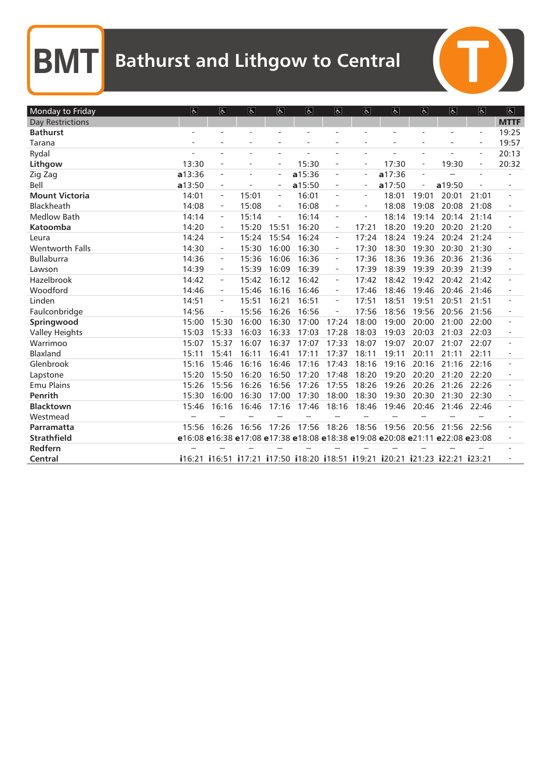| Monday to Friday        | $\vert \overline{d} \vert$ | $\overline{6}$               | $\overline{\mathbf{r}}$ | $\overline{\mathbf{r}}$  | $\overline{d}$           | $\overline{\mathbb{P}}$  | E                        | $\overline{6}$ | $\overline{\mathbf{r}}$  | $\overline{\mathcal{C}}$                                                     | $\overline{\mathbb{R}}$  | $\overline{\mathbb{P}}$ |
|-------------------------|----------------------------|------------------------------|-------------------------|--------------------------|--------------------------|--------------------------|--------------------------|----------------|--------------------------|------------------------------------------------------------------------------|--------------------------|-------------------------|
| <b>Day Restrictions</b> |                            |                              |                         |                          |                          |                          |                          |                |                          |                                                                              |                          | <b>MTTF</b>             |
| <b>Bathurst</b>         | L,                         |                              | L.                      | L                        |                          |                          |                          |                |                          | $\overline{a}$                                                               | $\equiv$                 | 19:25                   |
| Tarana                  | ٠                          |                              | ÷                       | $\overline{a}$           | $\overline{\phantom{a}}$ |                          |                          | $\overline{a}$ | $\overline{\phantom{a}}$ |                                                                              | $\overline{\phantom{a}}$ | 19:57                   |
| Rydal                   |                            |                              |                         |                          |                          |                          |                          |                |                          |                                                                              | $\equiv$                 | 20:13                   |
| Lithgow                 | 13:30                      |                              |                         | $\overline{\phantom{0}}$ | 15:30                    | $\overline{\phantom{a}}$ | $\overline{a}$           | 17:30          | $\overline{\phantom{0}}$ | 19:30                                                                        | $\overline{\phantom{a}}$ | 20:32                   |
| Zig Zag                 | a13:36                     | ÷,                           | $\overline{a}$          | $\overline{\phantom{a}}$ | a15:36                   | $\equiv$                 | $\equiv$                 | a17:36         | $\overline{a}$           |                                                                              | $\overline{a}$           |                         |
| Bell                    | a13:50                     | $\overline{\phantom{a}}$     |                         | $\overline{\phantom{a}}$ | a15:50                   | $\overline{a}$           |                          | a17:50         |                          | a19:50                                                                       |                          |                         |
| <b>Mount Victoria</b>   | 14:01                      | $\qquad \qquad \blacksquare$ | 15:01                   | $\equiv$                 | 16:01                    | $\overline{\phantom{a}}$ | $\overline{\phantom{a}}$ | 18:01          | 19:01                    | 20:01                                                                        | 21:01                    |                         |
| Blackheath              | 14:08                      | $\overline{\phantom{a}}$     | 15:08                   | $\overline{\phantom{a}}$ | 16:08                    | $\overline{\phantom{a}}$ |                          | 18:08          | 19:08                    | 20:08                                                                        | 21:08                    |                         |
| <b>Medlow Bath</b>      | 14:14                      | $\overline{\phantom{a}}$     | 15:14                   | $\overline{\phantom{m}}$ | 16:14                    |                          |                          | 18:14          | 19:14                    | 20:14                                                                        | 21:14                    |                         |
| <b>Katoomba</b>         | 14:20                      | $\qquad \qquad -$            | 15:20                   | 15:51                    | 16:20                    | $\overline{\phantom{a}}$ | 17:21                    | 18:20          | 19:20                    | 20:20                                                                        | 21:20                    |                         |
| Leura                   | 14:24                      | $\overline{\phantom{0}}$     | 15:24                   | 15:54                    | 16:24                    | $\overline{\phantom{a}}$ | 17:24                    | 18:24          | 19:24                    | 20:24                                                                        | 21:24                    |                         |
| Wentworth Falls         | 14:30                      | $\overline{\phantom{m}}$     | 15:30                   | 16:00                    | 16:30                    | $\overline{\phantom{a}}$ | 17:30                    | 18:30          | 19:30                    | 20:30                                                                        | 21:30                    |                         |
| <b>Bullaburra</b>       | 14:36                      | $\overline{\phantom{0}}$     | 15:36                   | 16:06                    | 16:36                    | $\overline{\phantom{a}}$ | 17:36                    | 18:36          | 19:36                    | 20:36                                                                        | 21:36                    |                         |
| Lawson                  | 14:39                      | $\overline{\phantom{a}}$     | 15:39                   | 16:09                    | 16:39                    | $\overline{\phantom{a}}$ | 17:39                    | 18:39          | 19:39                    | 20:39                                                                        | 21:39                    |                         |
| Hazelbrook              | 14:42                      |                              | 15:42                   | 16:12                    | 16:42                    | $\overline{\phantom{a}}$ | 17:42                    | 18:42          | 19:42                    | 20:42                                                                        | 21:42                    |                         |
| Woodford                | 14:46                      | $\qquad \qquad \blacksquare$ | 15:46                   | 16:16                    | 16:46                    | $\equiv$                 | 17:46                    | 18:46          | 19:46                    | 20:46                                                                        | 21:46                    |                         |
| Linden                  | 14:51                      | $\overline{\phantom{0}}$     | 15:51                   | 16:21                    | 16:51                    | $\overline{\phantom{a}}$ | 17:51                    | 18:51          | 19:51                    | 20:51                                                                        | 21:51                    |                         |
| Faulconbridge           | 14:56                      | $\overline{\phantom{0}}$     | 15:56                   | 16:26                    | 16:56                    | $\equiv$                 | 17:56                    | 18:56          | 19:56                    | 20:56                                                                        | 21:56                    |                         |
| Springwood              | 15:00                      | 15:30                        | 16:00                   | 16:30                    | 17:00                    | 17:24                    | 18:00                    | 19:00          | 20:00                    | 21:00                                                                        | 22:00                    |                         |
| <b>Valley Heights</b>   | 15:03                      | 15:33                        | 16:03                   | 16:33                    | 17:03                    | 17:28                    | 18:03                    | 19:03          | 20:03                    | 21:03                                                                        | 22:03                    |                         |
| Warrimoo                | 15:07                      | 15:37                        | 16:07                   | 16:37                    | 17:07                    | 17:33                    | 18:07                    | 19:07          | 20:07                    | 21:07                                                                        | 22:07                    |                         |
| Blaxland                | 15:11                      | 15:41                        | 16:11                   | 16:41                    | 17:11                    | 17:37                    | 18:11                    | 19:11          | 20:11                    | 21:11                                                                        | 22:11                    |                         |
| Glenbrook               | 15:16                      | 15:46                        | 16:16                   | 16:46                    | 17:16                    | 17:43                    | 18:16                    | 19:16          | 20:16                    | 21:16                                                                        | 22:16                    |                         |
| Lapstone                | 15:20                      | 15:50                        | 16:20                   | 16:50                    | 17:20                    | 17:48                    | 18:20                    | 19:20          | 20:20                    | 21:20                                                                        | 22:20                    |                         |
| <b>Emu Plains</b>       | 15:26                      | 15:56                        | 16:26                   | 16:56                    | 17:26                    | 17:55                    | 18:26                    | 19:26          | 20:26                    | 21:26                                                                        | 22:26                    | $\overline{a}$          |
| Penrith                 | 15:30                      | 16:00                        | 16:30                   | 17:00                    | 17:30                    | 18:00                    | 18:30                    | 19:30          | 20:30                    | 21:30                                                                        | 22:30                    |                         |
| <b>Blacktown</b>        | 15:46                      | 16:16                        | 16:46                   | 17:16                    | 17:46                    | 18:16                    | 18:46                    | 19:46          | 20:46                    | 21:46                                                                        | 22:46                    |                         |
| Westmead                |                            |                              |                         |                          |                          |                          |                          |                |                          |                                                                              |                          |                         |
| Parramatta              | 15:56                      | 16:26                        | 16:56                   | 17:26                    | 17:56                    | 18:26                    | 18:56                    | 19:56          | 20:56                    | 21:56                                                                        | 22:56                    |                         |
| <b>Strathfield</b>      |                            |                              |                         |                          |                          |                          |                          |                |                          | e16:08 e16:38 e17:08 e17:38 e18:08 e18:38 e19:08 e20:08 e21:11 e22:08 e23:08 |                          |                         |
| Redfern                 |                            |                              |                         |                          |                          |                          |                          |                |                          |                                                                              |                          |                         |
| Central                 |                            |                              |                         |                          |                          |                          |                          |                |                          | i16:21 i16:51 i17:21 i17:50 i18:20 i18:51 i19:21 i20:21 i21:23 i22:21 i23:21 |                          |                         |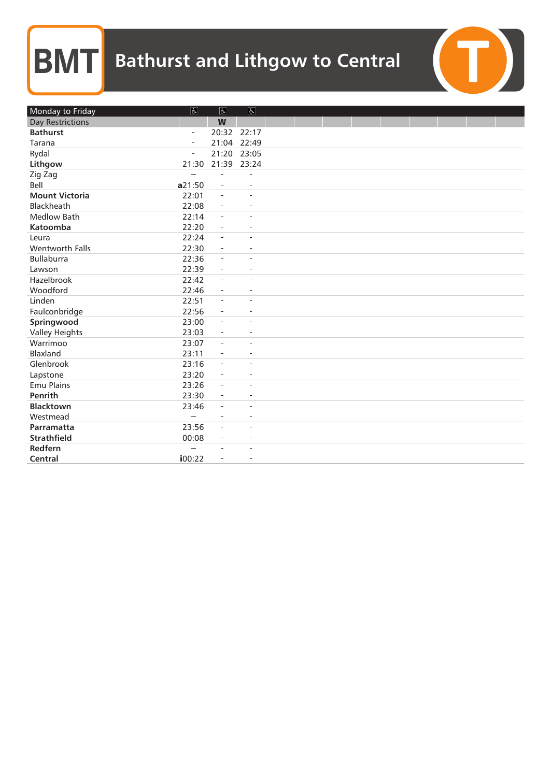| Monday to Friday        | $\vert \overline{d} \vert$ | $\vert \mathbf{F} \vert$ | $\overline{6}$           |  |  |  |  |
|-------------------------|----------------------------|--------------------------|--------------------------|--|--|--|--|
| <b>Day Restrictions</b> |                            | W                        |                          |  |  |  |  |
| <b>Bathurst</b>         | $\bar{ }$                  | 20:32 22:17              |                          |  |  |  |  |
| Tarana                  | $\overline{\phantom{a}}$   | 21:04 22:49              |                          |  |  |  |  |
| Rydal                   | $\overline{a}$             | 21:20 23:05              |                          |  |  |  |  |
| Lithgow                 | 21:30                      | 21:39 23:24              |                          |  |  |  |  |
| Zig Zag                 |                            |                          |                          |  |  |  |  |
| Bell                    | a21:50                     | $\overline{\phantom{a}}$ | L.                       |  |  |  |  |
| <b>Mount Victoria</b>   | 22:01                      | $\bar{ }$                | L.                       |  |  |  |  |
| Blackheath              | 22:08                      | $\overline{\phantom{a}}$ | ÷,                       |  |  |  |  |
| <b>Medlow Bath</b>      | 22:14                      | $\bar{ }$                | $\overline{a}$           |  |  |  |  |
| Katoomba                | 22:20                      | $\overline{\phantom{a}}$ |                          |  |  |  |  |
| Leura                   | 22:24                      | $\overline{\phantom{a}}$ | L,                       |  |  |  |  |
| Wentworth Falls         | 22:30                      | $\overline{\phantom{a}}$ | $\bar{a}$                |  |  |  |  |
| <b>Bullaburra</b>       | 22:36                      | $\overline{\phantom{a}}$ | $\overline{\phantom{a}}$ |  |  |  |  |
| Lawson                  | 22:39                      | $\blacksquare$           | ÷,                       |  |  |  |  |
| Hazelbrook              | 22:42                      | $\overline{\phantom{a}}$ |                          |  |  |  |  |
| Woodford                | 22:46                      | $\overline{\phantom{a}}$ | ÷,                       |  |  |  |  |
| Linden                  | 22:51                      | $\overline{\phantom{a}}$ | ×.                       |  |  |  |  |
| Faulconbridge           | 22:56                      | $\equiv$                 | $\overline{\phantom{a}}$ |  |  |  |  |
| Springwood              | 23:00                      | $\overline{\phantom{a}}$ |                          |  |  |  |  |
| <b>Valley Heights</b>   | 23:03                      | $\qquad \qquad -$        |                          |  |  |  |  |
| Warrimoo                | 23:07                      | $\overline{\phantom{a}}$ | J.                       |  |  |  |  |
| Blaxland                | 23:11                      | $\overline{\phantom{a}}$ | $\overline{\phantom{0}}$ |  |  |  |  |
| Glenbrook               | 23:16                      | $\overline{\phantom{a}}$ | L.                       |  |  |  |  |
| Lapstone                | 23:20                      | $\overline{\phantom{a}}$ | $\overline{a}$           |  |  |  |  |
| <b>Emu Plains</b>       | 23:26                      | $\overline{\phantom{a}}$ | ÷                        |  |  |  |  |
| Penrith                 | 23:30                      | $\overline{\phantom{a}}$ | $\overline{\phantom{a}}$ |  |  |  |  |
| <b>Blacktown</b>        | 23:46                      | $\overline{\phantom{a}}$ | ÷,                       |  |  |  |  |
| Westmead                |                            | $\overline{\phantom{a}}$ | L,                       |  |  |  |  |
| Parramatta              | 23:56                      | $\bar{\phantom{a}}$      | ÷,                       |  |  |  |  |
| <b>Strathfield</b>      | 00:08                      | $\overline{\phantom{a}}$ | ×.                       |  |  |  |  |
| Redfern                 |                            | $\equiv$                 |                          |  |  |  |  |
| Central                 | i00:22                     | $\overline{\phantom{a}}$ | $\overline{\phantom{a}}$ |  |  |  |  |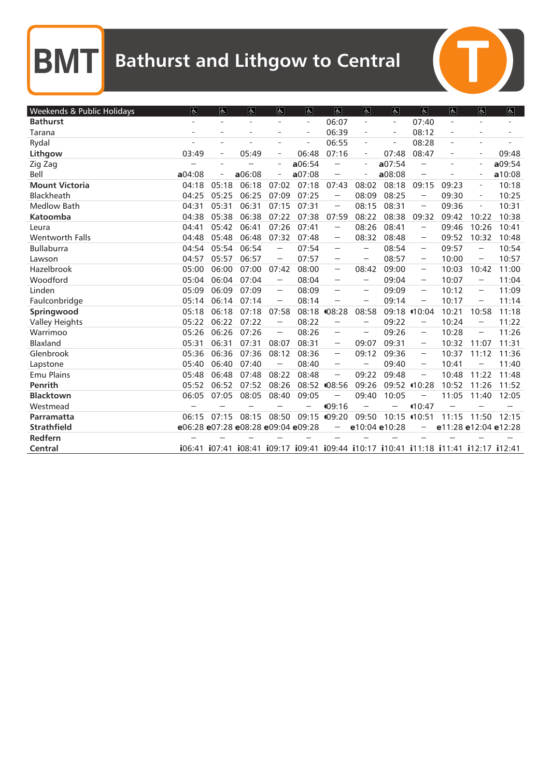$\blacksquare$ 

| Weekends & Public Holidays | $\Delta$                           | $\sqrt{6}$               | $\overline{6}$           | $\overline{\mathcal{P}}$                                                                                                                             | $\overline{a}$                                                                      | $\vert \mathbf{F} \vert$                                                                                                                                                                                                                                                                                                                                                                                                                                                                   | $ \mathbf{F} $                                                                                                               | $\overline{6}$           | $\sqrt{2}$                                                                                                                                                                                   | $\overline{\mathbf{r}}$  | $\overline{6}$                                                                                                                                   | $\overline{6}$ |
|----------------------------|------------------------------------|--------------------------|--------------------------|------------------------------------------------------------------------------------------------------------------------------------------------------|-------------------------------------------------------------------------------------|--------------------------------------------------------------------------------------------------------------------------------------------------------------------------------------------------------------------------------------------------------------------------------------------------------------------------------------------------------------------------------------------------------------------------------------------------------------------------------------------|------------------------------------------------------------------------------------------------------------------------------|--------------------------|----------------------------------------------------------------------------------------------------------------------------------------------------------------------------------------------|--------------------------|--------------------------------------------------------------------------------------------------------------------------------------------------|----------------|
| <b>Bathurst</b>            |                                    | $\overline{\phantom{a}}$ | $\overline{\phantom{a}}$ | $\overline{\phantom{a}}$                                                                                                                             | $\overline{\phantom{a}}$                                                            | 06:07                                                                                                                                                                                                                                                                                                                                                                                                                                                                                      | $\overline{\phantom{a}}$                                                                                                     | $\overline{\phantom{a}}$ | 07:40                                                                                                                                                                                        | $\overline{\phantom{a}}$ | $\overline{\phantom{a}}$                                                                                                                         |                |
| Tarana                     |                                    | $\sim$                   | L.                       |                                                                                                                                                      | $\overline{\phantom{a}}$                                                            | 06:39                                                                                                                                                                                                                                                                                                                                                                                                                                                                                      | $\overline{\phantom{a}}$                                                                                                     | $\sim$                   | 08:12                                                                                                                                                                                        | i.                       | $\overline{\phantom{a}}$                                                                                                                         |                |
| Rydal                      |                                    | $\overline{\phantom{a}}$ |                          |                                                                                                                                                      | $\overline{a}$                                                                      | 06:55                                                                                                                                                                                                                                                                                                                                                                                                                                                                                      |                                                                                                                              | ۰                        | 08:28                                                                                                                                                                                        |                          | $\overline{\phantom{a}}$                                                                                                                         |                |
| Lithgow                    | 03:49                              | $\overline{\phantom{a}}$ | 05:49                    | $\overline{\phantom{a}}$                                                                                                                             | 06:48                                                                               | 07:16                                                                                                                                                                                                                                                                                                                                                                                                                                                                                      | $\equiv$                                                                                                                     | 07:48                    | 08:47                                                                                                                                                                                        | $\overline{a}$           | $\overline{\phantom{a}}$                                                                                                                         | 09:48          |
| Zig Zag                    |                                    | $\sim$                   |                          | $\overline{a}$                                                                                                                                       | a06:54                                                                              |                                                                                                                                                                                                                                                                                                                                                                                                                                                                                            | $\overline{\phantom{a}}$                                                                                                     | a07:54                   |                                                                                                                                                                                              |                          | $\overline{\phantom{a}}$                                                                                                                         | a09:54         |
| Bell                       | a04:08                             | $\overline{\phantom{a}}$ | a06:08                   | $\overline{\phantom{a}}$                                                                                                                             | a07:08                                                                              | $\sim$                                                                                                                                                                                                                                                                                                                                                                                                                                                                                     | $\overline{a}$                                                                                                               | a08:08                   | $\sim$                                                                                                                                                                                       |                          | $\overline{a}$                                                                                                                                   | a10:08         |
| <b>Mount Victoria</b>      | 04:18                              | 05:18                    | 06:18                    | 07:02                                                                                                                                                | 07:18                                                                               | 07:43                                                                                                                                                                                                                                                                                                                                                                                                                                                                                      | 08:02                                                                                                                        | 08:18                    | 09:15                                                                                                                                                                                        | 09:23                    | ÷                                                                                                                                                | 10:18          |
| Blackheath                 | 04:25                              | 05:25                    | 06:25                    | 07:09                                                                                                                                                | 07:25                                                                               | $\sim$                                                                                                                                                                                                                                                                                                                                                                                                                                                                                     | 08:09                                                                                                                        | 08:25                    | $\sim$                                                                                                                                                                                       | 09:30                    | $\qquad \qquad \blacksquare$                                                                                                                     | 10:25          |
| <b>Medlow Bath</b>         | 04:31                              | 05:31                    | 06:31                    | 07:15                                                                                                                                                | 07:31                                                                               | $\sim$                                                                                                                                                                                                                                                                                                                                                                                                                                                                                     | 08:15                                                                                                                        | 08:31                    | $\sim$                                                                                                                                                                                       | 09:36                    | $\overline{\phantom{m}}$                                                                                                                         | 10:31          |
| Katoomba                   | 04:38                              | 05:38                    | 06:38                    | 07:22                                                                                                                                                | 07:38                                                                               | 07:59                                                                                                                                                                                                                                                                                                                                                                                                                                                                                      | 08:22                                                                                                                        | 08:38                    | 09:32                                                                                                                                                                                        | 09:42                    | 10:22                                                                                                                                            | 10:38          |
| Leura                      | 04:41                              | 05:42                    | 06:41                    | 07:26                                                                                                                                                | 07:41                                                                               |                                                                                                                                                                                                                                                                                                                                                                                                                                                                                            | 08:26                                                                                                                        | 08:41                    |                                                                                                                                                                                              | 09:46                    | 10:26                                                                                                                                            | 10:41          |
| <b>Wentworth Falls</b>     | 04:48                              | 05:48                    | 06:48                    | 07:32                                                                                                                                                | 07:48                                                                               | $\overline{\phantom{a}}$                                                                                                                                                                                                                                                                                                                                                                                                                                                                   | 08:32                                                                                                                        | 08:48                    | $\sim$                                                                                                                                                                                       | 09:52                    | 10:32                                                                                                                                            | 10:48          |
| <b>Bullaburra</b>          | 04:54                              | 05:54                    | 06:54                    | $\label{eq:1} \begin{aligned} \mathcal{L}_{\text{G}}(\mathcal{L}_{\text{G}}) = \mathcal{L}_{\text{G}}(\mathcal{L}_{\text{G}}) \end{aligned}$         | 07:54                                                                               | $\sim$                                                                                                                                                                                                                                                                                                                                                                                                                                                                                     | $\frac{1}{2}$                                                                                                                | 08:54                    | $\sim$                                                                                                                                                                                       | 09:57                    | $\sim$                                                                                                                                           | 10:54          |
| Lawson                     | 04:57                              | 05:57                    | 06:57                    |                                                                                                                                                      | 07:57                                                                               | $\label{eq:1} \begin{split} \mathcal{L}^{(1)}(x) = \mathcal{L}^{(1)}(x) \end{split}$                                                                                                                                                                                                                                                                                                                                                                                                       | $\label{eq:1} \begin{aligned} \mathcal{L}_{\text{G}}(t) = \mathcal{L}_{\text{G}}(t) \mathcal{L}_{\text{G}}(t) \end{aligned}$ | 08:57                    |                                                                                                                                                                                              | 10:00                    | $\label{eq:1} \begin{split} \mathcal{L}_{\text{max}}(\mathcal{L}_{\text{max}}) = \mathcal{L}_{\text{max}}(\mathcal{L}_{\text{max}}) \end{split}$ | 10:57          |
| Hazelbrook                 | 05:00                              | 06:00                    | 07:00                    | 07:42                                                                                                                                                | 08:00                                                                               | $\overline{a}$                                                                                                                                                                                                                                                                                                                                                                                                                                                                             | 08:42                                                                                                                        | 09:00                    | $\sim$                                                                                                                                                                                       | 10:03                    | 10:42                                                                                                                                            | 11:00          |
| Woodford                   | 05:04                              | 06:04                    | 07:04                    | $\label{eq:1} \begin{aligned} \mathcal{L}^{\text{max}}(\mathcal{L}^{\text{max}}_{\text{max}}), \end{aligned}$                                        | 08:04                                                                               | $\label{eq:1} \begin{aligned} \mathcal{L}^{(1)}(x) &= \mathcal{L}^{(1)}(x) \in \mathbb{R}^{d \times d} \times \mathbb{R}^{d \times d} \times \mathbb{R}^{d \times d} \times \mathbb{R}^{d \times d} \times \mathbb{R}^{d \times d} \times \mathbb{R}^{d \times d} \times \mathbb{R}^{d \times d} \times \mathbb{R}^{d \times d} \times \mathbb{R}^{d \times d} \times \mathbb{R}^{d \times d} \times \mathbb{R}^{d \times d} \times \mathbb{R}^{d \times d} \times \mathbb{R}^{d \times d$ | $\sim$                                                                                                                       | 09:04                    | $\label{eq:1} \begin{aligned} \mathcal{L}^{\text{max}}(\mathcal{L}^{\text{max}}_{\text{max}}) = \mathcal{L}^{\text{max}}_{\text{max}}(\mathcal{L}^{\text{max}}_{\text{max}}), \end{aligned}$ | 10:07                    | $\sim$                                                                                                                                           | 11:04          |
| Linden                     | 05:09                              | 06:09                    | 07:09                    | $\sim$                                                                                                                                               | 08:09                                                                               | $\sim$                                                                                                                                                                                                                                                                                                                                                                                                                                                                                     | $\overline{a}$                                                                                                               | 09:09                    | $\sim$                                                                                                                                                                                       | 10:12                    | $\sim$                                                                                                                                           | 11:09          |
| Faulconbridge              | 05:14                              | 06:14                    | 07:14                    | $\sim$                                                                                                                                               | 08:14                                                                               |                                                                                                                                                                                                                                                                                                                                                                                                                                                                                            | $\label{eq:1} \begin{aligned} \mathcal{L}_{\text{G}}(t) = \mathcal{L}_{\text{G}}(t) \end{aligned}$                           | 09:14                    | $\sim$                                                                                                                                                                                       | 10:17                    | $\label{eq:1} \begin{split} \mathcal{L}_{\text{max}}(\mathbf{X}) = \mathcal{L}_{\text{max}}(\mathbf{X}) \end{split}$                             | 11:14          |
| Springwood                 | 05:18                              | 06:18                    | 07:18                    | 07:58                                                                                                                                                | 08:18                                                                               | 408:28                                                                                                                                                                                                                                                                                                                                                                                                                                                                                     | 08:58                                                                                                                        | 09:18                    | (10:04)                                                                                                                                                                                      | 10:21                    | 10:58                                                                                                                                            | 11:18          |
| <b>Valley Heights</b>      | 05:22                              | 06:22                    | 07:22                    | $\label{eq:1} \begin{aligned} \mathcal{L}_{\text{max}}(\mathcal{L}_{\text{max}}) = \mathcal{L}_{\text{max}}(\mathcal{L}_{\text{max}}) \end{aligned}$ | 08:22                                                                               | $\sim$                                                                                                                                                                                                                                                                                                                                                                                                                                                                                     | $\overline{a}$                                                                                                               | 09:22                    | $\sim$                                                                                                                                                                                       | 10:24                    |                                                                                                                                                  | 11:22          |
| Warrimoo                   | 05:26                              | 06:26                    | 07:26                    | $\sim$                                                                                                                                               | 08:26                                                                               |                                                                                                                                                                                                                                                                                                                                                                                                                                                                                            | $\overline{\phantom{a}}$                                                                                                     | 09:26                    | $\sim$                                                                                                                                                                                       | 10:28                    | $\overline{\phantom{a}}$                                                                                                                         | 11:26          |
| <b>Blaxland</b>            | 05:31                              | 06:31                    | 07:31                    | 08:07                                                                                                                                                | 08:31                                                                               | $\sim$                                                                                                                                                                                                                                                                                                                                                                                                                                                                                     | 09:07                                                                                                                        | 09:31                    | $\sim$                                                                                                                                                                                       | 10:32                    | 11:07                                                                                                                                            | 11:31          |
| Glenbrook                  | 05:36                              | 06:36                    | 07:36                    | 08:12                                                                                                                                                | 08:36                                                                               | $\sim$                                                                                                                                                                                                                                                                                                                                                                                                                                                                                     | 09:12                                                                                                                        | 09:36                    | $\sim$                                                                                                                                                                                       | 10:37                    | 11:12                                                                                                                                            | 11:36          |
| Lapstone                   | 05:40                              | 06:40                    | 07:40                    |                                                                                                                                                      | 08:40                                                                               | $\sim$                                                                                                                                                                                                                                                                                                                                                                                                                                                                                     |                                                                                                                              | 09:40                    | $\sim$                                                                                                                                                                                       | 10:41                    |                                                                                                                                                  | 11:40          |
| <b>Emu Plains</b>          | 05:48                              | 06:48                    | 07:48                    | 08:22                                                                                                                                                | 08:48                                                                               |                                                                                                                                                                                                                                                                                                                                                                                                                                                                                            | 09:22                                                                                                                        | 09:48                    |                                                                                                                                                                                              | 10:48                    | 11:22                                                                                                                                            | 11:48          |
| Penrith                    | 05:52                              | 06:52                    | 07:52                    | 08:26                                                                                                                                                | 08:52                                                                               | 408:56                                                                                                                                                                                                                                                                                                                                                                                                                                                                                     | 09:26                                                                                                                        |                          | 09:52 10:28                                                                                                                                                                                  | 10:52                    | 11:26                                                                                                                                            | 11:52          |
| <b>Blacktown</b>           | 06:05                              | 07:05                    | 08:05                    | 08:40                                                                                                                                                | 09:05                                                                               |                                                                                                                                                                                                                                                                                                                                                                                                                                                                                            | 09:40                                                                                                                        | 10:05                    |                                                                                                                                                                                              | 11:05                    | 11:40                                                                                                                                            | 12:05          |
| Westmead                   |                                    |                          |                          |                                                                                                                                                      |                                                                                     | 109:16                                                                                                                                                                                                                                                                                                                                                                                                                                                                                     |                                                                                                                              |                          | (10:47)                                                                                                                                                                                      |                          |                                                                                                                                                  |                |
| Parramatta                 | 06:15                              | 07:15                    | 08:15                    | 08:50                                                                                                                                                | 09:15                                                                               | ¶09:20                                                                                                                                                                                                                                                                                                                                                                                                                                                                                     | 09:50                                                                                                                        |                          | 10:15 410:51                                                                                                                                                                                 | 11:15                    | 11:50                                                                                                                                            | 12:15          |
| <b>Strathfield</b>         | e06:28 e07:28 e08:28 e09:04 e09:28 |                          |                          |                                                                                                                                                      |                                                                                     | $\sim$                                                                                                                                                                                                                                                                                                                                                                                                                                                                                     | e10:04 e10:28                                                                                                                |                          | $\sim$                                                                                                                                                                                       | e11:28 e12:04 e12:28     |                                                                                                                                                  |                |
| Redfern                    |                                    |                          |                          |                                                                                                                                                      |                                                                                     |                                                                                                                                                                                                                                                                                                                                                                                                                                                                                            |                                                                                                                              |                          |                                                                                                                                                                                              |                          |                                                                                                                                                  |                |
| Central                    |                                    |                          |                          |                                                                                                                                                      | i06:41 i07:41 i08:41 i09:17 i09:41 i09:44 i10:17 i10:41 i11:18 i11:41 i12:17 i12:41 |                                                                                                                                                                                                                                                                                                                                                                                                                                                                                            |                                                                                                                              |                          |                                                                                                                                                                                              |                          |                                                                                                                                                  |                |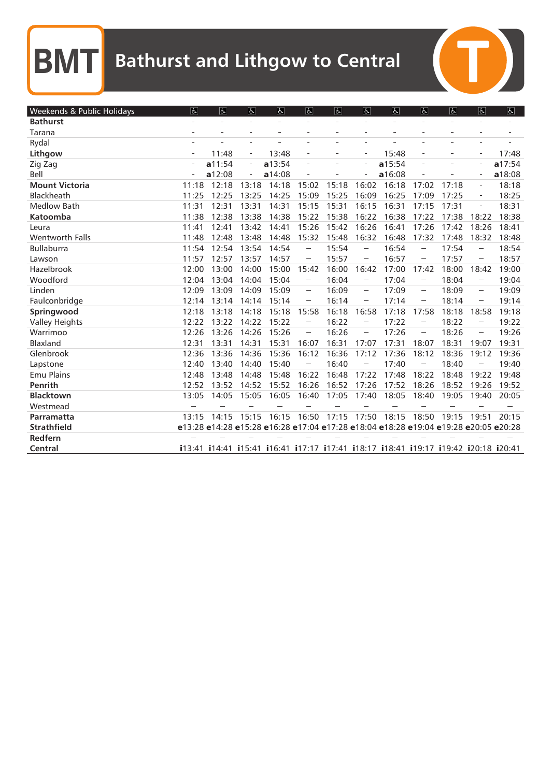| Weekends & Public Holidays | $\overline{d}$           | $\overline{6}$ | $\overline{6}$           | $\varphi$                                                                           | $\overline{d}$                                                                                                                                                                                                                                                                                                                                                                                                                                                      | $\overline{d}$ | $\overline{5}$                                                                                                 | $ \mathbf{P} $ | $\overline{6}$                                                                                                                                       | $\overline{a}$ | $\overline{a}$                                                                                                                                       | $\overline{f}$ |
|----------------------------|--------------------------|----------------|--------------------------|-------------------------------------------------------------------------------------|---------------------------------------------------------------------------------------------------------------------------------------------------------------------------------------------------------------------------------------------------------------------------------------------------------------------------------------------------------------------------------------------------------------------------------------------------------------------|----------------|----------------------------------------------------------------------------------------------------------------|----------------|------------------------------------------------------------------------------------------------------------------------------------------------------|----------------|------------------------------------------------------------------------------------------------------------------------------------------------------|----------------|
| <b>Bathurst</b>            |                          | $\sim$         | $\overline{\phantom{a}}$ | $\overline{a}$                                                                      | $\overline{\phantom{0}}$                                                                                                                                                                                                                                                                                                                                                                                                                                            | ÷              | $\overline{a}$                                                                                                 | $\sim$         | $\overline{a}$                                                                                                                                       | $\overline{a}$ | $\overline{\phantom{0}}$                                                                                                                             |                |
| Tarana                     |                          | ÷              | $\sim$                   | $\equiv$                                                                            | $\overline{\phantom{a}}$                                                                                                                                                                                                                                                                                                                                                                                                                                            | ÷              |                                                                                                                | ÷              | $\sim$                                                                                                                                               | $\equiv$       | $\overline{\phantom{a}}$                                                                                                                             |                |
| Rydal                      |                          |                |                          |                                                                                     | $\overline{\phantom{a}}$                                                                                                                                                                                                                                                                                                                                                                                                                                            |                |                                                                                                                |                |                                                                                                                                                      |                | $\overline{\phantom{a}}$                                                                                                                             |                |
| Lithgow                    | $\overline{\phantom{a}}$ | 11:48          | $\overline{\phantom{a}}$ | 13:48                                                                               | $\overline{a}$                                                                                                                                                                                                                                                                                                                                                                                                                                                      |                | $\overline{\phantom{0}}$                                                                                       | 15:48          | $\sim$                                                                                                                                               | $\equiv$       | $\qquad \qquad -$                                                                                                                                    | 17:48          |
| Zig Zag                    |                          | a11:54         | $\overline{\phantom{a}}$ | a13:54                                                                              | $\bar{a} = \bar{b}$                                                                                                                                                                                                                                                                                                                                                                                                                                                 |                | ÷,                                                                                                             | a15:54         | $\sim$                                                                                                                                               |                | $\overline{a}$                                                                                                                                       | a17:54         |
| Bell                       |                          | a12:08         | $\overline{\phantom{a}}$ | a14:08                                                                              | $\overline{\phantom{a}}$                                                                                                                                                                                                                                                                                                                                                                                                                                            |                |                                                                                                                | a16:08         | $\frac{1}{2}$                                                                                                                                        |                | ÷                                                                                                                                                    | a18:08         |
| <b>Mount Victoria</b>      | 11:18                    | 12:18          | 13:18                    | 14:18                                                                               | 15:02                                                                                                                                                                                                                                                                                                                                                                                                                                                               | 15:18          | 16:02                                                                                                          | 16:18          | 17:02                                                                                                                                                | 17:18          | $\overline{\phantom{0}}$                                                                                                                             | 18:18          |
| Blackheath                 | 11:25                    | 12:25          | 13:25                    | 14:25                                                                               | 15:09                                                                                                                                                                                                                                                                                                                                                                                                                                                               | 15:25          | 16:09                                                                                                          | 16:25          | 17:09                                                                                                                                                | 17:25          | $\qquad \qquad -$                                                                                                                                    | 18:25          |
| <b>Medlow Bath</b>         | 11:31                    | 12:31          | 13:31                    | 14:31                                                                               | 15:15                                                                                                                                                                                                                                                                                                                                                                                                                                                               | 15:31          | 16:15                                                                                                          | 16:31          | 17:15                                                                                                                                                | 17:31          | $\bar{ }$                                                                                                                                            | 18:31          |
| <b>Katoomba</b>            | 11:38                    | 12:38          | 13:38                    | 14:38                                                                               | 15:22                                                                                                                                                                                                                                                                                                                                                                                                                                                               | 15:38          | 16:22                                                                                                          | 16:38          | 17:22                                                                                                                                                | 17:38          | 18:22                                                                                                                                                | 18:38          |
| Leura                      | 11:41                    | 12:41          | 13:42                    | 14:41                                                                               | 15:26                                                                                                                                                                                                                                                                                                                                                                                                                                                               | 15:42          | 16:26                                                                                                          | 16:41          | 17:26                                                                                                                                                | 17:42          | 18:26                                                                                                                                                | 18:41          |
| <b>Wentworth Falls</b>     | 11:48                    | 12:48          | 13:48                    | 14:48                                                                               | 15:32                                                                                                                                                                                                                                                                                                                                                                                                                                                               | 15:48          | 16:32                                                                                                          | 16:48          | 17:32                                                                                                                                                | 17:48          | 18:32                                                                                                                                                | 18:48          |
| <b>Bullaburra</b>          | 11:54                    | 12:54          | 13:54                    | 14:54                                                                               | $\overline{\phantom{a}}$                                                                                                                                                                                                                                                                                                                                                                                                                                            | 15:54          |                                                                                                                | 16:54          |                                                                                                                                                      | 17:54          |                                                                                                                                                      | 18:54          |
| Lawson                     | 11:57                    | 12:57          | 13:57                    | 14:57                                                                               | $\frac{1}{2} \sum_{i=1}^n \frac{1}{2} \sum_{i=1}^n \frac{1}{2} \sum_{i=1}^n \frac{1}{2} \sum_{i=1}^n \frac{1}{2} \sum_{i=1}^n \frac{1}{2} \sum_{i=1}^n \frac{1}{2} \sum_{i=1}^n \frac{1}{2} \sum_{i=1}^n \frac{1}{2} \sum_{i=1}^n \frac{1}{2} \sum_{i=1}^n \frac{1}{2} \sum_{i=1}^n \frac{1}{2} \sum_{i=1}^n \frac{1}{2} \sum_{i=1}^n \frac{1}{2} \sum_{i=$                                                                                                         | 15:57          | $\label{eq:1} \begin{aligned} \mathcal{L}^{(1)}(x) &= \mathcal{L}^{(1)}(x) \mathcal{L}^{(1)}(x) \end{aligned}$ | 16:57          |                                                                                                                                                      | 17:57          | $\label{eq:1} \begin{aligned} \mathcal{L}_{\text{max}}(\mathcal{L}_{\text{max}}) = \mathcal{L}_{\text{max}}(\mathcal{L}_{\text{max}}) \end{aligned}$ | 18:57          |
| Hazelbrook                 | 12:00                    | 13:00          | 14:00                    | 15:00                                                                               | 15:42                                                                                                                                                                                                                                                                                                                                                                                                                                                               | 16:00          | 16:42                                                                                                          | 17:00          | 17:42                                                                                                                                                | 18:00          | 18:42                                                                                                                                                | 19:00          |
| Woodford                   | 12:04                    | 13:04          | 14:04                    | 15:04                                                                               | $\frac{1}{2} \left( \frac{1}{2} \right)^{\frac{1}{2}} \left( \frac{1}{2} \right)^{\frac{1}{2}} \left( \frac{1}{2} \right)^{\frac{1}{2}} \left( \frac{1}{2} \right)^{\frac{1}{2}} \left( \frac{1}{2} \right)^{\frac{1}{2}} \left( \frac{1}{2} \right)^{\frac{1}{2}} \left( \frac{1}{2} \right)^{\frac{1}{2}} \left( \frac{1}{2} \right)^{\frac{1}{2}} \left( \frac{1}{2} \right)^{\frac{1}{2}} \left( \frac{1}{2} \right)^{\frac{1}{2}} \left( \frac{1}{2} \right)^$ | 16:04          | $\label{eq:1} \begin{aligned} \mathcal{L}^{(1)}(x) = \mathcal{L}^{(1)}(x) \end{aligned}$                       | 17:04          | $\label{eq:1} \begin{aligned} \mathcal{L}^{\text{max}}(\mathcal{L}^{\text{max}}_{\text{max}}, \mathcal{L}^{\text{max}}_{\text{max}}), \end{aligned}$ | 18:04          |                                                                                                                                                      | 19:04          |
| Linden                     | 12:09                    | 13:09          | 14:09                    | 15:09                                                                               | $\overline{\phantom{a}}$                                                                                                                                                                                                                                                                                                                                                                                                                                            | 16:09          | $\sim$                                                                                                         | 17:09          | $\sim$                                                                                                                                               | 18:09          | $\overline{\phantom{a}}$                                                                                                                             | 19:09          |
| Faulconbridge              | 12:14                    | 13:14          | 14:14                    | 15:14                                                                               | $\frac{1}{2} \left( \frac{1}{2} \right)^{\frac{1}{2}} \left( \frac{1}{2} \right)^{\frac{1}{2}} \left( \frac{1}{2} \right)^{\frac{1}{2}} \left( \frac{1}{2} \right)^{\frac{1}{2}} \left( \frac{1}{2} \right)^{\frac{1}{2}} \left( \frac{1}{2} \right)^{\frac{1}{2}} \left( \frac{1}{2} \right)^{\frac{1}{2}} \left( \frac{1}{2} \right)^{\frac{1}{2}} \left( \frac{1}{2} \right)^{\frac{1}{2}} \left( \frac{1}{2} \right)^{\frac{1}{2}} \left( \frac{1}{2} \right)^$ | 16:14          | $\sim$                                                                                                         | 17:14          |                                                                                                                                                      | 18:14          | $\sim$                                                                                                                                               | 19:14          |
| Springwood                 | 12:18                    | 13:18          | 14:18                    | 15:18                                                                               | 15:58                                                                                                                                                                                                                                                                                                                                                                                                                                                               | 16:18          | 16:58                                                                                                          | 17:18          | 17:58                                                                                                                                                | 18:18          | 18:58                                                                                                                                                | 19:18          |
| <b>Valley Heights</b>      | 12:22                    | 13:22          | 14:22                    | 15:22                                                                               | $\frac{1}{2} \left( \frac{1}{2} \right)^{\frac{1}{2}} \left( \frac{1}{2} \right)^{\frac{1}{2}} \left( \frac{1}{2} \right)^{\frac{1}{2}} \left( \frac{1}{2} \right)^{\frac{1}{2}} \left( \frac{1}{2} \right)^{\frac{1}{2}} \left( \frac{1}{2} \right)^{\frac{1}{2}} \left( \frac{1}{2} \right)^{\frac{1}{2}} \left( \frac{1}{2} \right)^{\frac{1}{2}} \left( \frac{1}{2} \right)^{\frac{1}{2}} \left( \frac{1}{2} \right)^{\frac{1}{2}} \left( \frac{1}{2} \right)^$ | 16:22          | $\sim$                                                                                                         | 17:22          | $\label{eq:1} \begin{aligned} \mathcal{L}_{\text{max}}(\mathbf{x}) = \mathcal{L}_{\text{max}}(\mathbf{x}) \end{aligned}$                             | 18:22          | $\label{eq:1} \begin{aligned} \mathcal{L}_{\text{G}}(t) = \mathcal{L}_{\text{G}}(t) \mathcal{L}_{\text{G}}(t) \end{aligned}$                         | 19:22          |
| Warrimoo                   | 12:26                    | 13:26          | 14:26                    | 15:26                                                                               | $\overline{\phantom{a}}$                                                                                                                                                                                                                                                                                                                                                                                                                                            | 16:26          | $\overline{\phantom{a}}$                                                                                       | 17:26          | $\sim$                                                                                                                                               | 18:26          | $\overline{\phantom{a}}$                                                                                                                             | 19:26          |
| <b>Blaxland</b>            | 12:31                    | 13:31          | 14:31                    | 15:31                                                                               | 16:07                                                                                                                                                                                                                                                                                                                                                                                                                                                               | 16:31          | 17:07                                                                                                          | 17:31          | 18:07                                                                                                                                                | 18:31          | 19:07                                                                                                                                                | 19:31          |
| Glenbrook                  | 12:36                    | 13:36          | 14:36                    | 15:36                                                                               | 16:12                                                                                                                                                                                                                                                                                                                                                                                                                                                               | 16:36          | 17:12                                                                                                          | 17:36          | 18:12                                                                                                                                                | 18:36          | 19:12                                                                                                                                                | 19:36          |
| Lapstone                   | 12:40                    | 13:40          | 14:40                    | 15:40                                                                               |                                                                                                                                                                                                                                                                                                                                                                                                                                                                     | 16:40          |                                                                                                                | 17:40          |                                                                                                                                                      | 18:40          |                                                                                                                                                      | 19:40          |
| <b>Emu Plains</b>          | 12:48                    | 13:48          | 14:48                    | 15:48                                                                               | 16:22                                                                                                                                                                                                                                                                                                                                                                                                                                                               | 16:48          | 17:22                                                                                                          | 17:48          | 18:22                                                                                                                                                | 18:48          | 19:22                                                                                                                                                | 19:48          |
| Penrith                    | 12:52                    | 13:52          | 14:52                    | 15:52                                                                               | 16:26                                                                                                                                                                                                                                                                                                                                                                                                                                                               | 16:52          | 17:26                                                                                                          | 17:52          | 18:26                                                                                                                                                | 18:52          | 19:26                                                                                                                                                | 19:52          |
| <b>Blacktown</b>           | 13:05                    | 14:05          | 15:05                    | 16:05                                                                               | 16:40                                                                                                                                                                                                                                                                                                                                                                                                                                                               | 17:05          | 17:40                                                                                                          | 18:05          | 18:40                                                                                                                                                | 19:05          | 19:40                                                                                                                                                | 20:05          |
| Westmead                   |                          |                |                          |                                                                                     |                                                                                                                                                                                                                                                                                                                                                                                                                                                                     |                |                                                                                                                |                |                                                                                                                                                      |                |                                                                                                                                                      |                |
| Parramatta                 | 13:15                    | 14:15          | 15:15                    | 16:15                                                                               | 16:50                                                                                                                                                                                                                                                                                                                                                                                                                                                               | 17:15          | 17:50                                                                                                          | 18:15          | 18:50                                                                                                                                                | 19:15          | 19:51                                                                                                                                                | 20:15          |
| <b>Strathfield</b>         |                          |                |                          | e13:28 e14:28 e15:28 e16:28 e17:04 e17:28 e18:04 e18:28 e19:04 e19:28 e20:05 e20:28 |                                                                                                                                                                                                                                                                                                                                                                                                                                                                     |                |                                                                                                                |                |                                                                                                                                                      |                |                                                                                                                                                      |                |
| Redfern                    |                          |                |                          |                                                                                     |                                                                                                                                                                                                                                                                                                                                                                                                                                                                     |                |                                                                                                                |                |                                                                                                                                                      |                |                                                                                                                                                      |                |
| Central                    |                          |                |                          | i13:41 i14:41 i15:41 i16:41 i17:17 i17:41 i18:17 i18:41 i19:17 i19:42 i20:18 i20:41 |                                                                                                                                                                                                                                                                                                                                                                                                                                                                     |                |                                                                                                                |                |                                                                                                                                                      |                |                                                                                                                                                      |                |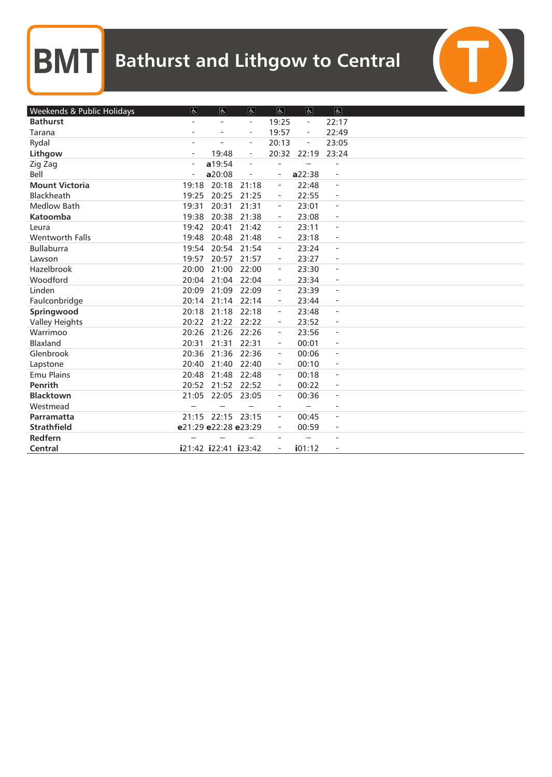| Weekends & Public Holidays | $\vert \mathbf{F} \vert$ | $\overline{6}$       | $\overline{d}$           | $\overline{\mathcal{C}}$ | $\overline{d}$           | $\boxed{d}$              |  |
|----------------------------|--------------------------|----------------------|--------------------------|--------------------------|--------------------------|--------------------------|--|
| <b>Bathurst</b>            |                          | $\overline{a}$       | $\overline{\phantom{a}}$ | 19:25                    | $\overline{\phantom{a}}$ | 22:17                    |  |
| Tarana                     |                          |                      | $\overline{\phantom{a}}$ | 19:57                    | $\overline{\phantom{a}}$ | 22:49                    |  |
| Rydal                      |                          |                      | $\overline{\phantom{a}}$ | 20:13                    |                          | 23:05                    |  |
| Lithgow                    | $\overline{\phantom{a}}$ | 19:48                | $\overline{\phantom{a}}$ | 20:32                    | 22:19                    | 23:24                    |  |
| Zig Zag                    |                          | a19:54               | $\overline{a}$           |                          |                          | ÷                        |  |
| Bell                       |                          | a20:08               | $\overline{a}$           | $\overline{\phantom{a}}$ | a22:38                   | $\overline{a}$           |  |
| <b>Mount Victoria</b>      | 19:18                    | 20:18                | 21:18                    | $\overline{\phantom{a}}$ | 22:48                    | $\overline{\phantom{a}}$ |  |
| Blackheath                 | 19:25                    | 20:25                | 21:25                    | $\overline{\phantom{a}}$ | 22:55                    | $\overline{\phantom{a}}$ |  |
| <b>Medlow Bath</b>         | 19:31                    | 20:31                | 21:31                    | $\overline{\phantom{a}}$ | 23:01                    | $\overline{\phantom{a}}$ |  |
| Katoomba                   | 19:38                    | 20:38                | 21:38                    | $\overline{\phantom{m}}$ | 23:08                    | $\overline{\phantom{a}}$ |  |
| Leura                      | 19:42                    | 20:41                | 21:42                    | $\overline{\phantom{a}}$ | 23:11                    | $\overline{\phantom{a}}$ |  |
| <b>Wentworth Falls</b>     | 19:48                    | 20:48                | 21:48                    | $\overline{\phantom{a}}$ | 23:18                    | $\overline{\phantom{a}}$ |  |
| <b>Bullaburra</b>          | 19:54                    | 20:54                | 21:54                    | $\overline{\phantom{a}}$ | 23:24                    | $\overline{\phantom{a}}$ |  |
| Lawson                     | 19:57                    | 20:57                | 21:57                    | $\qquad \qquad -$        | 23:27                    | $\overline{\phantom{a}}$ |  |
| Hazelbrook                 | 20:00                    | 21:00                | 22:00                    | $\overline{\phantom{a}}$ | 23:30                    | $\overline{\phantom{a}}$ |  |
| Woodford                   | 20:04                    | 21:04                | 22:04                    | $\overline{\phantom{a}}$ | 23:34                    | $\overline{\phantom{a}}$ |  |
| Linden                     | 20:09                    | 21:09                | 22:09                    | $\overline{\phantom{a}}$ | 23:39                    | $\overline{\phantom{a}}$ |  |
| Faulconbridge              | 20:14                    | 21:14                | 22:14                    | $\overline{\phantom{a}}$ | 23:44                    | $\overline{\phantom{a}}$ |  |
| Springwood                 | 20:18                    | 21:18 22:18          |                          | $\equiv$                 | 23:48                    | $\equiv$                 |  |
| <b>Valley Heights</b>      | 20:22                    | 21:22 22:22          |                          | $\overline{\phantom{a}}$ | 23:52                    | $\overline{\phantom{a}}$ |  |
| Warrimoo                   | 20:26                    | 21:26                | 22:26                    | $\equiv$                 | 23:56                    | $\sim$                   |  |
| Blaxland                   | 20:31                    | 21:31                | 22:31                    | $\overline{\phantom{a}}$ | 00:01                    | $\overline{\phantom{a}}$ |  |
| Glenbrook                  | 20:36                    | 21:36                | 22:36                    | $\equiv$                 | 00:06                    | $\overline{\phantom{a}}$ |  |
| Lapstone                   | 20:40                    | 21:40                | 22:40                    | $\overline{\phantom{a}}$ | 00:10                    | $\overline{\phantom{a}}$ |  |
| <b>Emu Plains</b>          | 20:48                    | 21:48                | 22:48                    | $\overline{\phantom{a}}$ | 00:18                    | $\overline{a}$           |  |
| Penrith                    | 20:52                    | 21:52 22:52          |                          | $\overline{\phantom{a}}$ | 00:22                    | $\overline{\phantom{a}}$ |  |
| <b>Blacktown</b>           | 21:05                    | 22:05 23:05          |                          | $\overline{\phantom{a}}$ | 00:36                    | $\overline{\phantom{a}}$ |  |
| Westmead                   |                          |                      |                          | $\overline{\phantom{a}}$ |                          | ÷,                       |  |
| Parramatta                 |                          | 21:15 22:15 23:15    |                          | $\overline{\phantom{a}}$ | 00:45                    | $\overline{a}$           |  |
| <b>Strathfield</b>         |                          | e21:29 e22:28 e23:29 |                          | ÷,                       | 00:59                    | $\equiv$                 |  |
| Redfern                    |                          |                      |                          |                          |                          | ÷                        |  |
| Central                    |                          | i21:42 i22:41 i23:42 |                          | $\equiv$                 | i01:12                   |                          |  |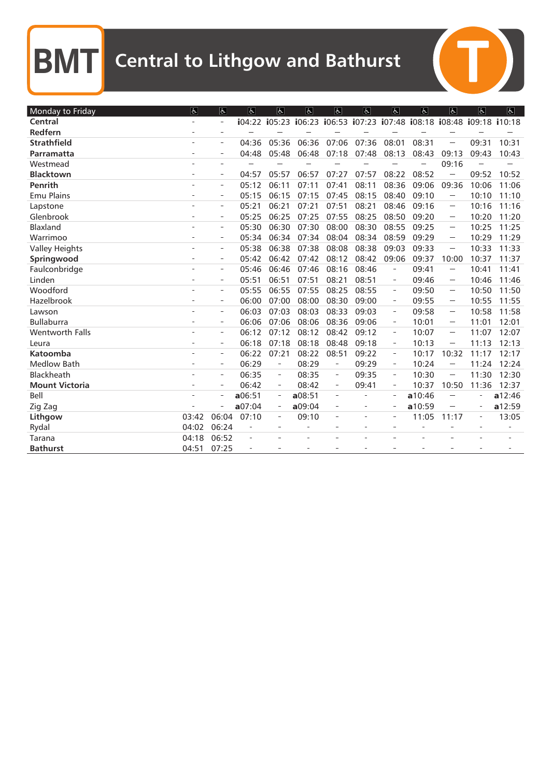$\overline{C}$ 

| Monday to Friday      | $\overline{a}$ | $\overline{d}$           | $\overline{a}$           | $\overline{d}$           | $\overline{a}$ | $\overline{d}$           | $\overline{5}$           | $\overline{q}$           | $\overline{a}$                                                        | $\overline{\mathcal{L}}$                                                                                                   | Ġ.             | $\overline{b}$ |
|-----------------------|----------------|--------------------------|--------------------------|--------------------------|----------------|--------------------------|--------------------------|--------------------------|-----------------------------------------------------------------------|----------------------------------------------------------------------------------------------------------------------------|----------------|----------------|
| Central               |                | $\overline{\phantom{a}}$ |                          |                          |                |                          |                          |                          | i04:22 i05:23 i06:23 i06:53 i07:23 i07:48 i08:18 i08:48 i09:18 i10:18 |                                                                                                                            |                |                |
| Redfern               |                | $\sim$                   |                          |                          |                |                          |                          |                          |                                                                       |                                                                                                                            |                |                |
| <b>Strathfield</b>    |                | $\overline{a}$           | 04:36                    | 05:36                    | 06:36          | 07:06                    | 07:36                    | 08:01                    | 08:31                                                                 |                                                                                                                            | 09:31          | 10:31          |
| Parramatta            |                |                          | 04:48                    | 05:48                    | 06:48          | 07:18                    | 07:48                    | 08:13                    | 08:43                                                                 | 09:13                                                                                                                      | 09:43          | 10:43          |
| Westmead              |                | $\sim$                   |                          |                          |                |                          |                          |                          |                                                                       | 09:16                                                                                                                      |                |                |
| <b>Blacktown</b>      |                | $\overline{\phantom{a}}$ | 04:57                    | 05:57                    | 06:57          | 07:27                    | 07:57                    | 08:22                    | 08:52                                                                 |                                                                                                                            | 09:52          | 10:52          |
| Penrith               |                | $\overline{\phantom{a}}$ | 05:12                    | 06:11                    | 07:11          | 07:41                    | 08:11                    | 08:36                    | 09:06                                                                 | 09:36                                                                                                                      | 10:06          | 11:06          |
| <b>Emu Plains</b>     |                | $\overline{\phantom{a}}$ | 05:15                    | 06:15                    | 07:15          | 07:45                    | 08:15                    | 08:40                    | 09:10                                                                 | $\sim$                                                                                                                     | 10:10          | 11:10          |
| Lapstone              |                | $\sim$                   | 05:21                    | 06:21                    | 07:21          | 07:51                    | 08:21                    | 08:46                    | 09:16                                                                 | $\sim$                                                                                                                     | 10:16          | 11:16          |
| Glenbrook             |                | $\overline{a}$           | 05:25                    | 06:25                    | 07:25          | 07:55                    | 08:25                    | 08:50                    | 09:20                                                                 | $\sim$                                                                                                                     | 10:20          | 11:20          |
| <b>Blaxland</b>       |                | $\sim$                   | 05:30                    | 06:30                    | 07:30          | 08:00                    | 08:30                    | 08:55                    | 09:25                                                                 | $\sim$                                                                                                                     | 10:25          | 11:25          |
| Warrimoo              | $\overline{a}$ | $\overline{a}$           | 05:34                    | 06:34                    | 07:34          | 08:04                    | 08:34                    | 08:59                    | 09:29                                                                 | $\sim$                                                                                                                     | 10:29          | 11:29          |
| <b>Valley Heights</b> |                | $\sim$                   | 05:38                    | 06:38                    | 07:38          | 08:08                    | 08:38                    | 09:03                    | 09:33                                                                 | $\sim$                                                                                                                     | 10:33          | 11:33          |
| Springwood            |                | $\overline{\phantom{a}}$ | 05:42                    | 06:42                    | 07:42          | 08:12                    | 08:42                    | 09:06                    | 09:37                                                                 | 10:00                                                                                                                      | 10:37          | 11:37          |
| Faulconbridge         |                | $\sim$                   | 05:46                    | 06:46                    | 07:46          | 08:16                    | 08:46                    | $\qquad \qquad -$        | 09:41                                                                 |                                                                                                                            | 10:41          | 11:41          |
| Linden                |                | $\overline{a}$           | 05:51                    | 06:51                    | 07:51          | 08:21                    | 08:51                    | $\overline{\phantom{a}}$ | 09:46                                                                 | $\label{eq:1} \begin{aligned} \mathcal{L}^{\text{max}}(\mathcal{L}^{\text{max}}_{\text{max}}), \end{aligned}$              | 10:46          | 11:46          |
| Woodford              |                | $\overline{a}$           | 05:55                    | 06:55                    | 07:55          | 08:25                    | 08:55                    | $\equiv$                 | 09:50                                                                 | $\sim$                                                                                                                     | 10:50          | 11:50          |
| Hazelbrook            |                | $\overline{\phantom{a}}$ | 06:00                    | 07:00                    | 08:00          | 08:30                    | 09:00                    | $\overline{a}$           | 09:55                                                                 | $\sim$                                                                                                                     | 10:55          | 11:55          |
| Lawson                |                | $\overline{a}$           | 06:03                    | 07:03                    | 08:03          | 08:33                    | 09:03                    | $\overline{\phantom{a}}$ | 09:58                                                                 | $\sim$                                                                                                                     | 10:58          | 11:58          |
| <b>Bullaburra</b>     |                | $\bar{a}$                | 06:06                    | 07:06                    | 08:06          | 08:36                    | 09:06                    | $\overline{\phantom{a}}$ | 10:01                                                                 | $\sim$                                                                                                                     | 11:01          | 12:01          |
| Wentworth Falls       |                | $\overline{\phantom{a}}$ | 06:12                    | 07:12                    | 08:12          | 08:42                    | 09:12                    | $\overline{\phantom{a}}$ | 10:07                                                                 | $\sim$                                                                                                                     | 11:07          | 12:07          |
| Leura                 |                | $\sim$                   | 06:18                    | 07:18                    | 08:18          | 08:48                    | 09:18                    | $\overline{\phantom{a}}$ | 10:13                                                                 | $\sim$                                                                                                                     | 11:13          | 12:13          |
| Katoomba              |                | $\overline{\phantom{a}}$ | 06:22                    | 07:21                    | 08:22          | 08:51                    | 09:22                    | $\overline{\phantom{a}}$ | 10:17                                                                 | 10:32                                                                                                                      | 11:17          | 12:17          |
| <b>Medlow Bath</b>    | ÷              | $\overline{\phantom{a}}$ | 06:29                    | $\bar{\phantom{a}}$      | 08:29          | $\overline{\phantom{a}}$ | 09:29                    | $\overline{\phantom{a}}$ | 10:24                                                                 | $\label{eq:1} \begin{aligned} \mathcal{L}^{\text{max}}(\mathcal{L}) = \mathcal{L}^{\text{max}}(\mathcal{L}) \end{aligned}$ | 11:24          | 12:24          |
| Blackheath            |                | $\overline{\phantom{a}}$ | 06:35                    | $\overline{\phantom{a}}$ | 08:35          | $\overline{\phantom{a}}$ | 09:35                    | $\overline{\phantom{a}}$ | 10:30                                                                 |                                                                                                                            | 11:30          | 12:30          |
| <b>Mount Victoria</b> |                | $\equiv$                 | 06:42                    | $\overline{\phantom{a}}$ | 08:42          | $\overline{\phantom{a}}$ | 09:41                    | $\overline{\phantom{a}}$ | 10:37                                                                 | 10:50                                                                                                                      | 11:36          | 12:37          |
| <b>Bell</b>           |                | $\sim$                   | a06:51                   | $\overline{\phantom{m}}$ | a08:51         | ÷                        |                          | $\overline{\phantom{a}}$ | a10:46                                                                |                                                                                                                            | L.             | a12:46         |
| Zig Zag               |                | $\overline{\phantom{a}}$ | a07:04                   | $\qquad \qquad -$        | a09:04         | $\overline{\phantom{a}}$ | $\overline{\phantom{a}}$ | $\overline{\phantom{a}}$ | a10:59                                                                |                                                                                                                            | $\frac{1}{2}$  | a12:59         |
| Lithgow               | 03:42          | 06:04                    | 07:10                    | $\overline{\phantom{a}}$ | 09:10          | ٠                        | $\overline{\phantom{a}}$ | $\overline{\phantom{a}}$ | 11:05                                                                 | 11:17                                                                                                                      | $\overline{a}$ | 13:05          |
| Rydal                 | 04:02          | 06:24                    | $\bar{a}$                | $\overline{a}$           | $\overline{a}$ |                          | $\overline{a}$           | $\overline{a}$           | $\overline{a}$                                                        |                                                                                                                            | $\overline{a}$ |                |
| Tarana                | 04:18          | 06:52                    | $\overline{\phantom{a}}$ |                          |                |                          |                          |                          |                                                                       |                                                                                                                            |                |                |
| <b>Bathurst</b>       | 04:51          | 07:25                    |                          |                          |                |                          |                          |                          |                                                                       |                                                                                                                            |                |                |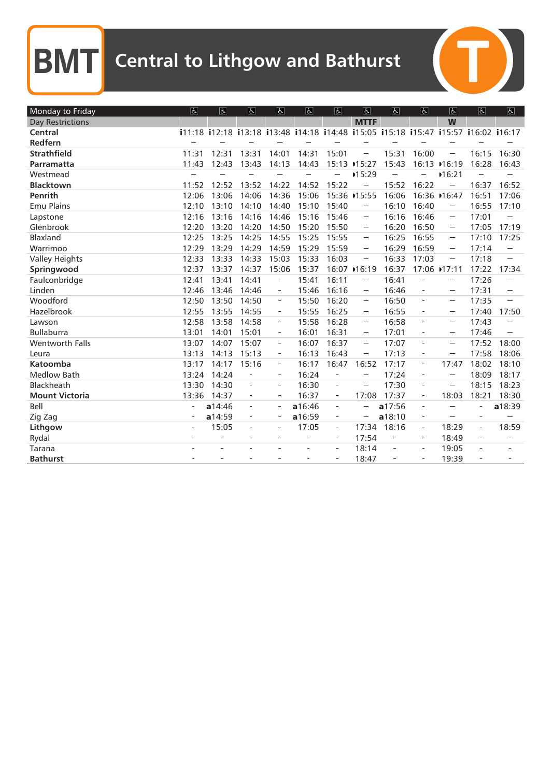| Monday to Friday        | $\overline{d}$ | $\overline{6}$                                                                      | $\overline{6}$           | $\overline{a}$           | $\sigma$       | $\overline{d}$           | $ \mathbf{F} $                                                                                                                                                                                                                                                                                                                                                                                                           | $\overline{d}$           | $\overline{d}$           | $\sigma$                                                                                                                                             | $\sigma$                 | $\overline{6}$ |
|-------------------------|----------------|-------------------------------------------------------------------------------------|--------------------------|--------------------------|----------------|--------------------------|--------------------------------------------------------------------------------------------------------------------------------------------------------------------------------------------------------------------------------------------------------------------------------------------------------------------------------------------------------------------------------------------------------------------------|--------------------------|--------------------------|------------------------------------------------------------------------------------------------------------------------------------------------------|--------------------------|----------------|
| <b>Day Restrictions</b> |                |                                                                                     |                          |                          |                |                          | <b>MTTF</b>                                                                                                                                                                                                                                                                                                                                                                                                              |                          |                          | W                                                                                                                                                    |                          |                |
| Central                 |                | i11:18 i12:18 i13:18 i13:48 i14:18 i14:48 i15:05 i15:18 i15:47 i15:57 i16:02 i16:17 |                          |                          |                |                          |                                                                                                                                                                                                                                                                                                                                                                                                                          |                          |                          |                                                                                                                                                      |                          |                |
| Redfern                 |                |                                                                                     |                          |                          |                |                          |                                                                                                                                                                                                                                                                                                                                                                                                                          |                          |                          |                                                                                                                                                      |                          |                |
| <b>Strathfield</b>      | 11:31          | 12:31                                                                               | 13:31                    | 14:01                    | 14:31          | 15:01                    | $\cdots$                                                                                                                                                                                                                                                                                                                                                                                                                 | 15:31                    | 16:00                    |                                                                                                                                                      | 16:15                    | 16:30          |
| Parramatta              | 11:43          | 12:43                                                                               | 13:43                    | 14:13                    | 14:43          |                          | 15:13 →15:27                                                                                                                                                                                                                                                                                                                                                                                                             | 15:43                    |                          | 16:13 →16:19                                                                                                                                         | 16:28                    | 16:43          |
| Westmead                |                |                                                                                     |                          |                          |                |                          | ■15:29                                                                                                                                                                                                                                                                                                                                                                                                                   |                          |                          | 16:21                                                                                                                                                |                          |                |
| <b>Blacktown</b>        | 11:52          | 12:52                                                                               | 13:52                    | 14:22                    | 14:52          | 15:22                    |                                                                                                                                                                                                                                                                                                                                                                                                                          | 15:52                    | 16:22                    |                                                                                                                                                      | 16:37                    | 16:52          |
| Penrith                 | 12:06          | 13:06                                                                               | 14:06                    | 14:36                    | 15:06          |                          | 15:36 →15:55                                                                                                                                                                                                                                                                                                                                                                                                             | 16:06                    |                          | 16:36 → 16:47                                                                                                                                        | 16:51                    | 17:06          |
| <b>Emu Plains</b>       | 12:10          | 13:10                                                                               | 14:10                    | 14:40                    | 15:10          | 15:40                    |                                                                                                                                                                                                                                                                                                                                                                                                                          | 16:10                    | 16:40                    |                                                                                                                                                      | 16:55                    | 17:10          |
| Lapstone                | 12:16          | 13:16                                                                               | 14:16                    | 14:46                    | 15:16          | 15:46                    | $\overline{\phantom{a}}$                                                                                                                                                                                                                                                                                                                                                                                                 | 16:16                    | 16:46                    | $\sim$                                                                                                                                               | 17:01                    |                |
| Glenbrook               | 12:20          | 13:20                                                                               | 14:20                    | 14:50                    | 15:20          | 15:50                    | $\sim$                                                                                                                                                                                                                                                                                                                                                                                                                   | 16:20                    | 16:50                    | $\sim$                                                                                                                                               | 17:05                    | 17:19          |
| <b>Blaxland</b>         | 12:25          | 13:25                                                                               | 14:25                    | 14:55                    | 15:25          | 15:55                    | $\sim$                                                                                                                                                                                                                                                                                                                                                                                                                   | 16:25                    | 16:55                    | $\sim$                                                                                                                                               | 17:10                    | 17:25          |
| Warrimoo                | 12:29          | 13:29                                                                               | 14:29                    | 14:59                    | 15:29          | 15:59                    | $\sim$                                                                                                                                                                                                                                                                                                                                                                                                                   | 16:29                    | 16:59                    | $\sim$                                                                                                                                               | 17:14                    |                |
| <b>Valley Heights</b>   | 12:33          | 13:33                                                                               | 14:33                    | 15:03                    | 15:33          | 16:03                    |                                                                                                                                                                                                                                                                                                                                                                                                                          | 16:33                    | 17:03                    |                                                                                                                                                      | 17:18                    |                |
| Springwood              | 12:37          | 13:37                                                                               | 14:37                    | 15:06                    | 15:37          |                          | 16:07 → 16:19                                                                                                                                                                                                                                                                                                                                                                                                            | 16:37                    |                          | 17:06 ▶17:11                                                                                                                                         | 17:22                    | 17:34          |
| Faulconbridge           | 12:41          | 13:41                                                                               | 14:41                    | $\overline{a}$           | 15:41          | 16:11                    |                                                                                                                                                                                                                                                                                                                                                                                                                          | 16:41                    |                          |                                                                                                                                                      | 17:26                    |                |
| Linden                  | 12:46          | 13:46                                                                               | 14:46                    | $\equiv$                 | 15:46          | 16:16                    | $\sim$                                                                                                                                                                                                                                                                                                                                                                                                                   | 16:46                    | $\overline{\phantom{a}}$ | $\sim$                                                                                                                                               | 17:31                    |                |
| Woodford                | 12:50          | 13:50                                                                               | 14:50                    | $\overline{\phantom{a}}$ | 15:50          | 16:20                    | $\sim$                                                                                                                                                                                                                                                                                                                                                                                                                   | 16:50                    |                          | $\label{eq:1} \begin{aligned} \mathcal{L}_{\text{max}}(\mathcal{L}_{\text{max}}) = \mathcal{L}_{\text{max}}(\mathcal{L}_{\text{max}}) \end{aligned}$ | 17:35                    |                |
| Hazelbrook              | 12:55          | 13:55                                                                               | 14:55                    | $\equiv$                 | 15:55          | 16:25                    | $\sim$                                                                                                                                                                                                                                                                                                                                                                                                                   | 16:55                    | $\overline{\phantom{a}}$ | $\sim$                                                                                                                                               | 17:40                    | 17:50          |
| Lawson                  | 12:58          | 13:58                                                                               | 14:58                    | $\overline{\phantom{a}}$ | 15:58          | 16:28                    | $\label{eq:1} \begin{aligned} \mathcal{L}_{\text{G}}(x) &= \mathcal{L}_{\text{G}}(x) \text{,} \end{aligned}$                                                                                                                                                                                                                                                                                                             | 16:58                    |                          |                                                                                                                                                      | 17:43                    |                |
| <b>Bullaburra</b>       | 13:01          | 14:01                                                                               | 15:01                    | $\overline{\phantom{a}}$ | 16:01          | 16:31                    | $\sim$                                                                                                                                                                                                                                                                                                                                                                                                                   | 17:01                    |                          | $\sim$                                                                                                                                               | 17:46                    |                |
| Wentworth Falls         | 13:07          | 14:07                                                                               | 15:07                    | $\overline{\phantom{a}}$ | 16:07          | 16:37                    | $\sim$                                                                                                                                                                                                                                                                                                                                                                                                                   | 17:07                    | $\overline{\phantom{a}}$ | $\sim$                                                                                                                                               | 17:52                    | 18:00          |
| Leura                   | 13:13          | 14:13                                                                               | 15:13                    | $\overline{\phantom{a}}$ | 16:13          | 16:43                    | $\label{eq:1} \begin{aligned} \mathcal{L}_{\text{G}}(x) &= \mathcal{L}_{\text{G}}(x) \text{,} \end{aligned}$                                                                                                                                                                                                                                                                                                             | 17:13                    |                          | $\label{eq:1} \begin{aligned} \mathcal{L}_{\text{max}}(\mathcal{L}_{\text{max}}) = \mathcal{L}_{\text{max}}(\mathcal{L}_{\text{max}}) \end{aligned}$ | 17:58                    | 18:06          |
| Katoomba                | 13:17          | 14:17                                                                               | 15:16                    | $\overline{\phantom{a}}$ | 16:17          | 16:47                    | 16:52                                                                                                                                                                                                                                                                                                                                                                                                                    | 17:17                    | $\overline{\phantom{a}}$ | 17:47                                                                                                                                                | 18:02                    | 18:10          |
| <b>Medlow Bath</b>      | 13:24          | 14:24                                                                               | $\overline{\phantom{a}}$ | $\overline{\phantom{a}}$ | 16:24          | $\overline{\phantom{a}}$ | $\label{eq:1} \begin{aligned} \mathcal{L}^{(1)}(x) &= \mathcal{L}^{(1)}(x) \otimes \mathcal{L}^{(1)}(x) \otimes \mathcal{L}^{(1)}(x) \otimes \mathcal{L}^{(1)}(x) \otimes \mathcal{L}^{(1)}(x) \otimes \mathcal{L}^{(1)}(x) \otimes \mathcal{L}^{(1)}(x) \otimes \mathcal{L}^{(1)}(x) \otimes \mathcal{L}^{(1)}(x) \otimes \mathcal{L}^{(1)}(x) \otimes \mathcal{L}^{(1)}(x) \otimes \mathcal{L}^{(1)}(x) \otimes \math$ | 17:24                    | $\overline{\phantom{0}}$ | $\label{eq:1} \begin{aligned} \mathcal{L}^{(1)}(X) = \mathcal{L}^{(1)}(X) \end{aligned}$                                                             | 18:09                    | 18:17          |
| Blackheath              | 13:30          | 14:30                                                                               | $\bar{a}$                | $\sim$                   | 16:30          | ÷,                       | $\frac{1}{2}$                                                                                                                                                                                                                                                                                                                                                                                                            | 17:30                    | $\bar{a}$                | $\frac{1}{2}$                                                                                                                                        | 18:15                    | 18:23          |
| <b>Mount Victoria</b>   | 13:36          | 14:37                                                                               | $\overline{\phantom{a}}$ | $\overline{\phantom{a}}$ | 16:37          | $\overline{\phantom{a}}$ | 17:08                                                                                                                                                                                                                                                                                                                                                                                                                    | 17:37                    | $\qquad \qquad -$        | 18:03                                                                                                                                                | 18:21                    | 18:30          |
| Bell                    | ÷,             | a14:46                                                                              | $\overline{\phantom{a}}$ | $\overline{\phantom{a}}$ | a16:46         | ÷.                       |                                                                                                                                                                                                                                                                                                                                                                                                                          | a17:56                   | $\overline{\phantom{a}}$ |                                                                                                                                                      | ÷,                       | a18:39         |
| Zig Zag                 |                | a14:59                                                                              | $\overline{\phantom{a}}$ | $\overline{\phantom{a}}$ | a16:59         |                          |                                                                                                                                                                                                                                                                                                                                                                                                                          | a18:10                   | $\overline{\phantom{a}}$ |                                                                                                                                                      | $\overline{a}$           |                |
| Lithgow                 |                | 15:05                                                                               | ÷                        | $\overline{\phantom{a}}$ | 17:05          | $\equiv$                 | 17:34                                                                                                                                                                                                                                                                                                                                                                                                                    | 18:16                    | $\equiv$                 | 18:29                                                                                                                                                | $\overline{\phantom{a}}$ | 18:59          |
| Rydal                   |                | ÷,                                                                                  |                          | $\sim$                   | ÷              |                          | 17:54                                                                                                                                                                                                                                                                                                                                                                                                                    | $\overline{\phantom{a}}$ | $\overline{\phantom{a}}$ | 18:49                                                                                                                                                | $\overline{\phantom{m}}$ |                |
| Tarana                  |                |                                                                                     |                          | L.                       | $\overline{a}$ | ÷,                       | 18:14                                                                                                                                                                                                                                                                                                                                                                                                                    | $\bar{\phantom{a}}$      | ÷,                       | 19:05                                                                                                                                                |                          |                |
| <b>Bathurst</b>         |                |                                                                                     |                          |                          |                | $\bar{ }$                | 18:47                                                                                                                                                                                                                                                                                                                                                                                                                    |                          |                          | 19:39                                                                                                                                                |                          |                |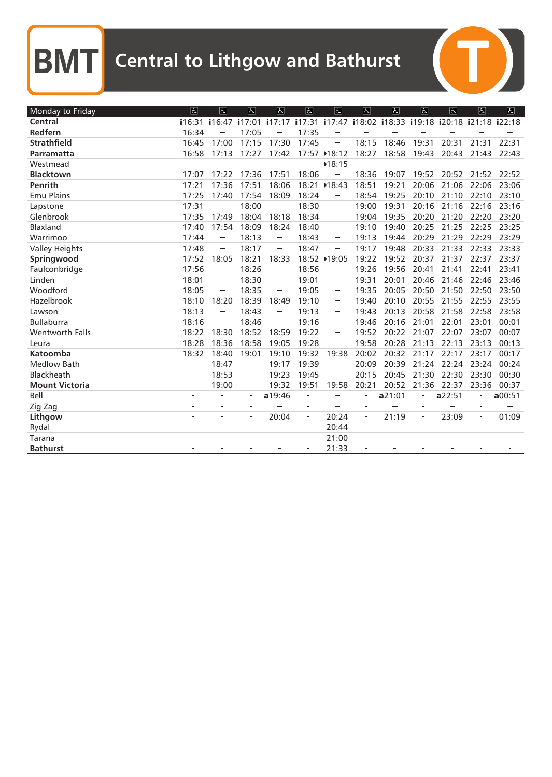| Monday to Friday      | $\vert \mathbf{F} \vert$ | $\overline{a}$                                                                                                                                                                               | $\overline{a}$           | $\overline{\mathcal{L}}$                                                                                                                                                                     | 氐                        | $\overline{d}$                                                                                                                                                                                                                                                                                                                                                                                                                                                                | $\overline{6}$           | $\overline{a}$ | $\sigma$                 | $\sigma$                                  | $\overline{\mathcal{L}}$ | $\overline{f}$ |
|-----------------------|--------------------------|----------------------------------------------------------------------------------------------------------------------------------------------------------------------------------------------|--------------------------|----------------------------------------------------------------------------------------------------------------------------------------------------------------------------------------------|--------------------------|-------------------------------------------------------------------------------------------------------------------------------------------------------------------------------------------------------------------------------------------------------------------------------------------------------------------------------------------------------------------------------------------------------------------------------------------------------------------------------|--------------------------|----------------|--------------------------|-------------------------------------------|--------------------------|----------------|
| Central               | i16:31                   | i16:47                                                                                                                                                                                       |                          | $i17:01$ $i17:17$                                                                                                                                                                            |                          | $i17:31$ $i17:47$                                                                                                                                                                                                                                                                                                                                                                                                                                                             |                          |                |                          | i18:02 i18:33 i19:18 i20:18 i21:18 i22:18 |                          |                |
| Redfern               | 16:34                    |                                                                                                                                                                                              | 17:05                    |                                                                                                                                                                                              | 17:35                    |                                                                                                                                                                                                                                                                                                                                                                                                                                                                               |                          |                |                          |                                           |                          |                |
| <b>Strathfield</b>    | 16:45                    | 17:00                                                                                                                                                                                        | 17:15                    | 17:30                                                                                                                                                                                        | 17:45                    | $\frac{1}{2} \sum_{i=1}^{n} \frac{1}{2} \sum_{j=1}^{n} \frac{1}{2} \sum_{j=1}^{n} \frac{1}{2} \sum_{j=1}^{n} \frac{1}{2} \sum_{j=1}^{n} \frac{1}{2} \sum_{j=1}^{n} \frac{1}{2} \sum_{j=1}^{n} \frac{1}{2} \sum_{j=1}^{n} \frac{1}{2} \sum_{j=1}^{n} \frac{1}{2} \sum_{j=1}^{n} \frac{1}{2} \sum_{j=1}^{n} \frac{1}{2} \sum_{j=1}^{n} \frac{1}{2} \sum_{j=1}^{n$                                                                                                               | 18:15                    | 18:46          | 19:31                    | 20:31                                     | 21:31                    | 22:31          |
| Parramatta            | 16:58                    | 17:13                                                                                                                                                                                        | 17:27                    | 17:42                                                                                                                                                                                        | 17:57                    | 18:12                                                                                                                                                                                                                                                                                                                                                                                                                                                                         | 18:27                    | 18:58          | 19:43                    | 20:43                                     | 21:43                    | 22:43          |
| Westmead              |                          |                                                                                                                                                                                              |                          |                                                                                                                                                                                              |                          | 18:15                                                                                                                                                                                                                                                                                                                                                                                                                                                                         |                          |                |                          |                                           |                          |                |
| <b>Blacktown</b>      | 17:07                    | 17:22                                                                                                                                                                                        | 17:36                    | 17:51                                                                                                                                                                                        | 18:06                    |                                                                                                                                                                                                                                                                                                                                                                                                                                                                               | 18:36                    | 19:07          | 19:52                    | 20:52                                     | 21:52                    | 22:52          |
| Penrith               | 17:21                    | 17:36                                                                                                                                                                                        | 17:51                    | 18:06                                                                                                                                                                                        |                          | 18:21 → 18:43                                                                                                                                                                                                                                                                                                                                                                                                                                                                 | 18:51                    | 19:21          | 20:06                    | 21:06                                     | 22:06                    | 23:06          |
| <b>Emu Plains</b>     | 17:25                    | 17:40                                                                                                                                                                                        | 17:54                    | 18:09                                                                                                                                                                                        | 18:24                    | $\overline{a}$                                                                                                                                                                                                                                                                                                                                                                                                                                                                | 18:54                    | 19:25          | 20:10                    | 21:10                                     | 22:10                    | 23:10          |
| Lapstone              | 17:31                    |                                                                                                                                                                                              | 18:00                    |                                                                                                                                                                                              | 18:30                    | $\frac{1}{2} \left( \frac{1}{2} \right)^{\frac{1}{2}} \left( \frac{1}{2} \right)^{\frac{1}{2}} \left( \frac{1}{2} \right)^{\frac{1}{2}} \left( \frac{1}{2} \right)^{\frac{1}{2}} \left( \frac{1}{2} \right)^{\frac{1}{2}} \left( \frac{1}{2} \right)^{\frac{1}{2}} \left( \frac{1}{2} \right)^{\frac{1}{2}} \left( \frac{1}{2} \right)^{\frac{1}{2}} \left( \frac{1}{2} \right)^{\frac{1}{2}} \left( \frac{1}{2} \right)^{\frac{1}{2}} \left( \frac{1}{2} \right)^$           | 19:00                    | 19:31          | 20:16                    | 21:16                                     | 22:16                    | 23:16          |
| Glenbrook             | 17:35                    | 17:49                                                                                                                                                                                        | 18:04                    | 18:18                                                                                                                                                                                        | 18:34                    | $\sim$                                                                                                                                                                                                                                                                                                                                                                                                                                                                        | 19:04                    | 19:35          | 20:20                    | 21:20                                     | 22:20                    | 23:20          |
| Blaxland              | 17:40                    | 17:54                                                                                                                                                                                        | 18:09                    | 18:24                                                                                                                                                                                        | 18:40                    | $\label{eq:1} \begin{aligned} \frac{1}{2} \left( \frac{1}{2} \right) \left( \frac{1}{2} \right) \left( \frac{1}{2} \right) \left( \frac{1}{2} \right) \left( \frac{1}{2} \right) \left( \frac{1}{2} \right) \left( \frac{1}{2} \right) \left( \frac{1}{2} \right) \left( \frac{1}{2} \right) \left( \frac{1}{2} \right) \left( \frac{1}{2} \right) \left( \frac{1}{2} \right) \left( \frac{1}{2} \right) \left( \frac{1}{2} \right) \left( \frac{1}{2} \right) \left( \frac{$ | 19:10                    | 19:40          | 20:25                    | 21:25                                     | 22:25                    | 23:25          |
| Warrimoo              | 17:44                    | $\sim$                                                                                                                                                                                       | 18:13                    | $\sim$                                                                                                                                                                                       | 18:43                    | $\sim$                                                                                                                                                                                                                                                                                                                                                                                                                                                                        | 19:13                    | 19:44          | 20:29                    | 21:29                                     | 22:29                    | 23:29          |
| <b>Valley Heights</b> | 17:48                    |                                                                                                                                                                                              | 18:17                    | $\overline{a}$                                                                                                                                                                               | 18:47                    |                                                                                                                                                                                                                                                                                                                                                                                                                                                                               | 19:17                    | 19:48          | 20:33                    | 21:33                                     | 22:33                    | 23:33          |
| Springwood            | 17:52                    | 18:05                                                                                                                                                                                        | 18:21                    | 18:33                                                                                                                                                                                        |                          | 18:52 ▶19:05                                                                                                                                                                                                                                                                                                                                                                                                                                                                  | 19:22                    | 19:52          | 20:37                    | 21:37                                     | 22:37                    | 23:37          |
| Faulconbridge         | 17:56                    | $\sim$                                                                                                                                                                                       | 18:26                    | $\overline{\phantom{a}}$                                                                                                                                                                     | 18:56                    | $\overline{a}$                                                                                                                                                                                                                                                                                                                                                                                                                                                                | 19:26                    | 19:56          | 20:41                    | 21:41                                     | 22:41                    | 23:41          |
| Linden                | 18:01                    | $\label{eq:1} \begin{aligned} \mathcal{L}_{\text{R}}(\mathcal{L}_{\text{R}}(\mathcal{L}_{\text{R}})) = \mathcal{L}_{\text{R}}(\mathcal{L}_{\text{R}}(\mathcal{L}_{\text{R}})) \end{aligned}$ | 18:30                    | $\label{eq:1} \begin{aligned} \mathcal{L}^{\text{max}}(\mathcal{L}^{\text{max}}_{\text{max}}) = \mathcal{L}^{\text{max}}_{\text{max}}(\mathcal{L}^{\text{max}}_{\text{max}}), \end{aligned}$ | 19:01                    |                                                                                                                                                                                                                                                                                                                                                                                                                                                                               | 19:31                    | 20:01          | 20:46                    | 21:46                                     | 22:46                    | 23:46          |
| Woodford              | 18:05                    | $\sim$                                                                                                                                                                                       | 18:35                    | $\sim$                                                                                                                                                                                       | 19:05                    | $\overline{a}$                                                                                                                                                                                                                                                                                                                                                                                                                                                                | 19:35                    | 20:05          | 20:50                    | 21:50                                     | 22:50                    | 23:50          |
| Hazelbrook            | 18:10                    | 18:20                                                                                                                                                                                        | 18:39                    | 18:49                                                                                                                                                                                        | 19:10                    | $\label{eq:1} \begin{aligned} \mathcal{L}_{\text{G}}(t) = \mathcal{L}_{\text{G}}(t) \end{aligned}$                                                                                                                                                                                                                                                                                                                                                                            | 19:40                    | 20:10          | 20:55                    | 21:55                                     | 22:55                    | 23:55          |
| Lawson                | 18:13                    |                                                                                                                                                                                              | 18:43                    |                                                                                                                                                                                              | 19:13                    | $\sim$                                                                                                                                                                                                                                                                                                                                                                                                                                                                        | 19:43                    | 20:13          | 20:58                    | 21:58                                     | 22:58                    | 23:58          |
| <b>Bullaburra</b>     | 18:16                    |                                                                                                                                                                                              | 18:46                    | $\label{eq:1} \begin{split} \mathcal{L}_{\text{max}}(\mathcal{L}_{\text{max}}) = \mathcal{L}_{\text{max}}(\mathcal{L}_{\text{max}}) \end{split}$                                             | 19:16                    | $\label{eq:1} \begin{aligned} \mathcal{L}_{\text{G}}(\mathcal{L}_{\text{G}}(\mathcal{L}_{\text{G}})) = \mathcal{L}_{\text{G}}(\mathcal{L}_{\text{G}}(\mathcal{L}_{\text{G}})) \end{aligned}$                                                                                                                                                                                                                                                                                  | 19:46                    | 20:16          | 21:01                    | 22:01                                     | 23:01                    | 00:01          |
| Wentworth Falls       | 18:22                    | 18:30                                                                                                                                                                                        | 18:52                    | 18:59                                                                                                                                                                                        | 19:22                    | $\overline{\phantom{a}}$                                                                                                                                                                                                                                                                                                                                                                                                                                                      | 19:52                    | 20:22          | 21:07                    | 22:07                                     | 23:07                    | 00:07          |
| Leura                 | 18:28                    | 18:36                                                                                                                                                                                        | 18:58                    | 19:05                                                                                                                                                                                        | 19:28                    |                                                                                                                                                                                                                                                                                                                                                                                                                                                                               | 19:58                    | 20:28          | 21:13                    | 22:13                                     | 23:13                    | 00:13          |
| Katoomba              | 18:32                    | 18:40                                                                                                                                                                                        | 19:01                    | 19:10                                                                                                                                                                                        | 19:32                    | 19:38                                                                                                                                                                                                                                                                                                                                                                                                                                                                         | 20:02                    | 20:32          | 21:17                    | 22:17                                     | 23:17                    | 00:17          |
| <b>Medlow Bath</b>    | L.                       | 18:47                                                                                                                                                                                        | $\overline{\phantom{a}}$ | 19:17                                                                                                                                                                                        | 19:39                    | $\label{eq:1} \begin{aligned} \mathcal{L}_{\text{max}}(\mathcal{L}_{\text{max}}) = \mathcal{L}_{\text{max}}(\mathcal{L}_{\text{max}}) \end{aligned}$                                                                                                                                                                                                                                                                                                                          | 20:09                    | 20:39          | 21:24                    | 22:24                                     | 23:24                    | 00:24          |
| Blackheath            | $\overline{a}$           | 18:53                                                                                                                                                                                        | $\overline{\phantom{a}}$ | 19:23                                                                                                                                                                                        | 19:45                    |                                                                                                                                                                                                                                                                                                                                                                                                                                                                               | 20:15                    | 20:45          | 21:30                    | 22:30                                     | 23:30                    | 00:30          |
| <b>Mount Victoria</b> | ÷,                       | 19:00                                                                                                                                                                                        | $\equiv$                 | 19:32                                                                                                                                                                                        | 19:51                    | 19:58                                                                                                                                                                                                                                                                                                                                                                                                                                                                         | 20:21                    | 20:52          | 21:36                    | 22:37                                     | 23:36                    | 00:37          |
| Bell                  |                          |                                                                                                                                                                                              | $\overline{\phantom{a}}$ | a19:46                                                                                                                                                                                       |                          |                                                                                                                                                                                                                                                                                                                                                                                                                                                                               |                          | a21:01         |                          | a22:51                                    |                          | a00:51         |
| Zig Zag               | ÷,                       |                                                                                                                                                                                              | $\sim$                   |                                                                                                                                                                                              | ÷                        |                                                                                                                                                                                                                                                                                                                                                                                                                                                                               | ÷                        |                | ÷,                       |                                           | $\sim$                   |                |
| Lithgow               |                          | ÷.                                                                                                                                                                                           | $\overline{\phantom{a}}$ | 20:04                                                                                                                                                                                        | $\overline{\phantom{a}}$ | 20:24                                                                                                                                                                                                                                                                                                                                                                                                                                                                         | $\overline{\phantom{a}}$ | 21:19          | $\overline{\phantom{a}}$ | 23:09                                     | $\overline{\phantom{a}}$ | 01:09          |
| Rydal                 |                          |                                                                                                                                                                                              | ÷,                       | ÷.                                                                                                                                                                                           | $\overline{\phantom{a}}$ | 20:44                                                                                                                                                                                                                                                                                                                                                                                                                                                                         | $\equiv$                 |                | $\sim$                   | $\overline{a}$                            | $\sim$                   |                |
| Tarana                |                          |                                                                                                                                                                                              |                          |                                                                                                                                                                                              | $\overline{\phantom{a}}$ | 21:00                                                                                                                                                                                                                                                                                                                                                                                                                                                                         |                          |                |                          |                                           |                          |                |
| <b>Bathurst</b>       |                          |                                                                                                                                                                                              |                          |                                                                                                                                                                                              |                          | 21:33                                                                                                                                                                                                                                                                                                                                                                                                                                                                         |                          |                |                          |                                           |                          |                |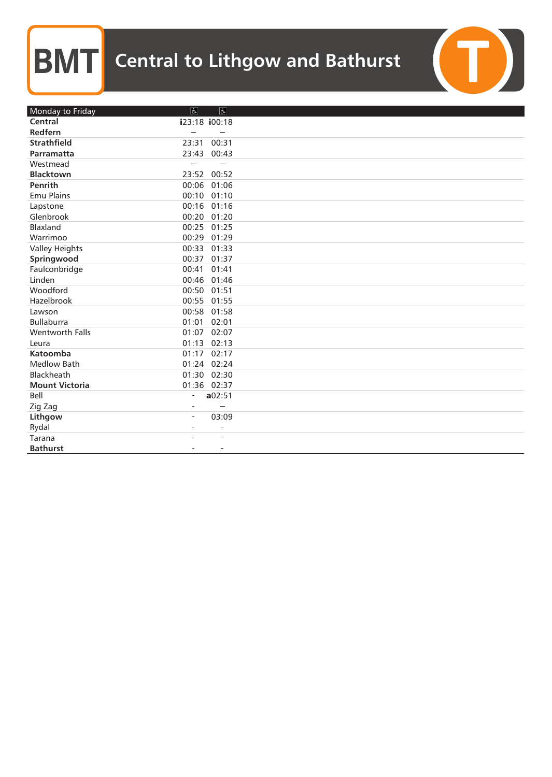| Monday to Friday      | $\vert \overline{d} \vert$ | $\overline{6}$           |  |
|-----------------------|----------------------------|--------------------------|--|
| Central               | i23:18 i00:18              |                          |  |
| Redfern               |                            |                          |  |
| <b>Strathfield</b>    | 23:31                      | 00:31                    |  |
| Parramatta            | 23:43                      | 00:43                    |  |
| Westmead              |                            |                          |  |
| <b>Blacktown</b>      | 23:52 00:52                |                          |  |
| Penrith               | 00:06                      | 01:06                    |  |
| <b>Emu Plains</b>     | 00:10 01:10                |                          |  |
| Lapstone              | 00:16 01:16                |                          |  |
| Glenbrook             | 00:20 01:20                |                          |  |
| Blaxland              | 00:25                      | 01:25                    |  |
| Warrimoo              | 00:29                      | 01:29                    |  |
| <b>Valley Heights</b> | 00:33                      | 01:33                    |  |
| Springwood            | 00:37                      | 01:37                    |  |
| Faulconbridge         | 00:41                      | 01:41                    |  |
| Linden                | 00:46                      | 01:46                    |  |
| Woodford              | 00:50                      | 01:51                    |  |
| Hazelbrook            | 00:55 01:55                |                          |  |
| Lawson                | 00:58                      | 01:58                    |  |
| <b>Bullaburra</b>     | 01:01                      | 02:01                    |  |
| Wentworth Falls       | 01:07                      | 02:07                    |  |
| Leura                 | 01:13 02:13                |                          |  |
| Katoomba              | 01:17                      | 02:17                    |  |
| <b>Medlow Bath</b>    | 01:24 02:24                |                          |  |
| Blackheath            | 01:30                      | 02:30                    |  |
| <b>Mount Victoria</b> | 01:36 02:37                |                          |  |
| Bell                  | $\overline{a}$             | a02:51                   |  |
| Zig Zag               |                            |                          |  |
| Lithgow               | $\overline{\phantom{a}}$   | 03:09                    |  |
| Rydal                 | $\equiv$                   | $\overline{\phantom{a}}$ |  |
| Tarana                |                            |                          |  |
| <b>Bathurst</b>       |                            | $\overline{\phantom{a}}$ |  |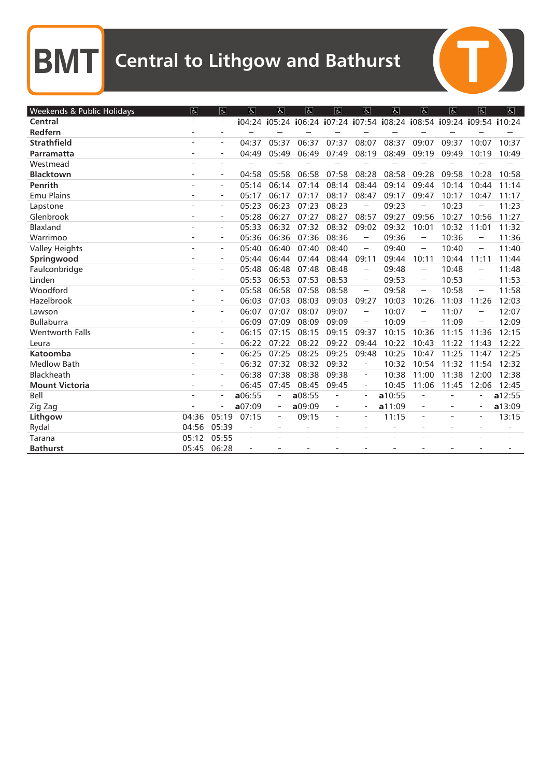| Weekends & Public Holidays | $\overline{\mathbb{P}}$ | $\overline{6}$           | $\overline{d}$ | $\mathfrak{S}$           | $\mathfrak{S}$ | $\overline{f}$           | $\overline{a}$           | $\overline{6}$                                                        | $ \mathbf{P} $                                                                                                                                                                                                                                                                                                                                                                                                                                                      | $\mathfrak{S}$           | $\mathfrak{F}$           | $\overline{f}$ |
|----------------------------|-------------------------|--------------------------|----------------|--------------------------|----------------|--------------------------|--------------------------|-----------------------------------------------------------------------|---------------------------------------------------------------------------------------------------------------------------------------------------------------------------------------------------------------------------------------------------------------------------------------------------------------------------------------------------------------------------------------------------------------------------------------------------------------------|--------------------------|--------------------------|----------------|
| Central                    |                         | $\overline{a}$           |                |                          |                |                          |                          | i04:24 i05:24 i06:24 i07:24 i07:54 i08:24 i08:54 i09:24 i09:54 i10:24 |                                                                                                                                                                                                                                                                                                                                                                                                                                                                     |                          |                          |                |
| Redfern                    |                         | $\equiv$                 |                |                          |                |                          |                          |                                                                       |                                                                                                                                                                                                                                                                                                                                                                                                                                                                     |                          |                          |                |
| <b>Strathfield</b>         |                         | $\overline{\phantom{a}}$ | 04:37          | 05:37                    | 06:37          | 07:37                    | 08:07                    | 08:37                                                                 | 09:07                                                                                                                                                                                                                                                                                                                                                                                                                                                               | 09:37                    | 10:07                    | 10:37          |
| Parramatta                 |                         |                          | 04:49          | 05:49                    | 06:49          | 07:49                    | 08:19                    | 08:49                                                                 | 09:19                                                                                                                                                                                                                                                                                                                                                                                                                                                               | 09:49                    | 10:19                    | 10:49          |
| Westmead                   |                         |                          |                |                          |                |                          |                          |                                                                       |                                                                                                                                                                                                                                                                                                                                                                                                                                                                     |                          |                          |                |
| <b>Blacktown</b>           |                         | $\equiv$                 | 04:58          | 05:58                    | 06:58          | 07:58                    | 08:28                    | 08:58                                                                 | 09:28                                                                                                                                                                                                                                                                                                                                                                                                                                                               | 09:58                    | 10:28                    | 10:58          |
| <b>Penrith</b>             |                         | $\overline{\phantom{m}}$ | 05:14          | 06:14                    | 07:14          | 08:14                    | 08:44                    | 09:14                                                                 | 09:44                                                                                                                                                                                                                                                                                                                                                                                                                                                               | 10:14                    | 10:44                    | 11:14          |
| <b>Emu Plains</b>          |                         | $\qquad \qquad -$        | 05:17          | 06:17                    | 07:17          | 08:17                    | 08:47                    | 09:17                                                                 | 09:47                                                                                                                                                                                                                                                                                                                                                                                                                                                               | 10:17                    | 10:47                    | 11:17          |
| Lapstone                   |                         | $\sim$                   | 05:23          | 06:23                    | 07:23          | 08:23                    | $\sim$                   | 09:23                                                                 |                                                                                                                                                                                                                                                                                                                                                                                                                                                                     | 10:23                    |                          | 11:23          |
| Glenbrook                  |                         | $\overline{a}$           | 05:28          | 06:27                    | 07:27          | 08:27                    | 08:57                    | 09:27                                                                 | 09:56                                                                                                                                                                                                                                                                                                                                                                                                                                                               | 10:27                    | 10:56                    | 11:27          |
| Blaxland                   |                         | ÷.                       | 05:33          | 06:32                    | 07:32          | 08:32                    | 09:02                    | 09:32                                                                 | 10:01                                                                                                                                                                                                                                                                                                                                                                                                                                                               | 10:32                    | 11:01                    | 11:32          |
| Warrimoo                   |                         | $\overline{a}$           | 05:36          | 06:36                    | 07:36          | 08:36                    | $\sim$                   | 09:36                                                                 | $\sim$                                                                                                                                                                                                                                                                                                                                                                                                                                                              | 10:36                    | $\sim$                   | 11:36          |
| <b>Valley Heights</b>      |                         | $\bar{a}$                | 05:40          | 06:40                    | 07:40          | 08:40                    | $\sim$                   | 09:40                                                                 | $\sim$                                                                                                                                                                                                                                                                                                                                                                                                                                                              | 10:40                    | $\sim$                   | 11:40          |
| Springwood                 |                         | $\overline{\phantom{a}}$ | 05:44          | 06:44                    | 07:44          | 08:44                    | 09:11                    | 09:44                                                                 | 10:11                                                                                                                                                                                                                                                                                                                                                                                                                                                               | 10:44                    | 11:11                    | 11:44          |
| Faulconbridge              |                         | $\equiv$                 | 05:48          | 06:48                    | 07:48          | 08:48                    |                          | 09:48                                                                 | $\frac{1}{2} \left( \frac{1}{2} \right)^{\frac{1}{2}} \left( \frac{1}{2} \right)^{\frac{1}{2}} \left( \frac{1}{2} \right)^{\frac{1}{2}} \left( \frac{1}{2} \right)^{\frac{1}{2}} \left( \frac{1}{2} \right)^{\frac{1}{2}} \left( \frac{1}{2} \right)^{\frac{1}{2}} \left( \frac{1}{2} \right)^{\frac{1}{2}} \left( \frac{1}{2} \right)^{\frac{1}{2}} \left( \frac{1}{2} \right)^{\frac{1}{2}} \left( \frac{1}{2} \right)^{\frac{1}{2}} \left( \frac{1}{2} \right)^$ | 10:48                    | $\sim$                   | 11:48          |
| Linden                     |                         | $\overline{\phantom{a}}$ | 05:53          | 06:53                    | 07:53          | 08:53                    | $\sim$                   | 09:53                                                                 | $\label{eq:1} \begin{aligned} \mathcal{L}^{(1)}(x) &= \mathcal{L}^{(1)}(x) \otimes \mathcal{L}^{(1)}(x) \otimes \mathcal{L}^{(1)}(x) \otimes \mathcal{L}^{(1)}(x) \otimes \mathcal{L}^{(1)}(x) \otimes \mathcal{L}^{(1)}(x) \otimes \mathcal{L}^{(1)}(x) \otimes \mathcal{L}^{(1)}(x) \otimes \mathcal{L}^{(1)}(x) \otimes \mathcal{L}^{(1)}(x) \otimes \mathcal{L}^{(1)}(x) \otimes \mathcal{L}^{(1)}(x) \otimes \math$                                            | 10:53                    | $\sim$                   | 11:53          |
| Woodford                   |                         | ÷,                       | 05:58          | 06:58                    | 07:58          | 08:58                    | $\sim$                   | 09:58                                                                 | $\overline{\phantom{a}}$                                                                                                                                                                                                                                                                                                                                                                                                                                            | 10:58                    | $\overline{\phantom{a}}$ | 11:58          |
| Hazelbrook                 |                         | $\overline{\phantom{a}}$ | 06:03          | 07:03                    | 08:03          | 09:03                    | 09:27                    | 10:03                                                                 | 10:26                                                                                                                                                                                                                                                                                                                                                                                                                                                               | 11:03                    | 11:26                    | 12:03          |
| Lawson                     |                         | $\equiv$                 | 06:07          | 07:07                    | 08:07          | 09:07                    |                          | 10:07                                                                 |                                                                                                                                                                                                                                                                                                                                                                                                                                                                     | 11:07                    |                          | 12:07          |
| <b>Bullaburra</b>          |                         | $\overline{\phantom{m}}$ | 06:09          | 07:09                    | 08:09          | 09:09                    |                          | 10:09                                                                 | $\frac{1}{2} \sum_{i=1}^{n} \frac{1}{2} \sum_{j=1}^{n} \frac{1}{2} \sum_{j=1}^{n} \frac{1}{2} \sum_{j=1}^{n} \frac{1}{2} \sum_{j=1}^{n} \frac{1}{2} \sum_{j=1}^{n} \frac{1}{2} \sum_{j=1}^{n} \frac{1}{2} \sum_{j=1}^{n} \frac{1}{2} \sum_{j=1}^{n} \frac{1}{2} \sum_{j=1}^{n} \frac{1}{2} \sum_{j=1}^{n} \frac{1}{2} \sum_{j=1}^{n} \frac{1}{2} \sum_{j=1}^{n$                                                                                                     | 11:09                    |                          | 12:09          |
| <b>Wentworth Falls</b>     |                         | $\overline{a}$           | 06:15          | 07:15                    | 08:15          | 09:15                    | 09:37                    | 10:15                                                                 | 10:36                                                                                                                                                                                                                                                                                                                                                                                                                                                               | 11:15                    | 11:36                    | 12:15          |
| Leura                      |                         | $\sim$                   | 06:22          | 07:22                    | 08:22          | 09:22                    | 09:44                    | 10:22                                                                 | 10:43                                                                                                                                                                                                                                                                                                                                                                                                                                                               | 11:22                    | 11:43                    | 12:22          |
| Katoomba                   |                         | $\overline{a}$           | 06:25          | 07:25                    | 08:25          | 09:25                    | 09:48                    | 10:25                                                                 | 10:47                                                                                                                                                                                                                                                                                                                                                                                                                                                               | 11:25                    | 11:47                    | 12:25          |
| <b>Medlow Bath</b>         |                         | $\sim$                   | 06:32          | 07:32                    | 08:32          | 09:32                    | ÷,                       | 10:32                                                                 | 10:54                                                                                                                                                                                                                                                                                                                                                                                                                                                               | 11:32                    | 11:54                    | 12:32          |
| Blackheath                 |                         | $\overline{a}$           | 06:38          | 07:38                    | 08:38          | 09:38                    | $\overline{a}$           | 10:38                                                                 | 11:00                                                                                                                                                                                                                                                                                                                                                                                                                                                               | 11:38                    | 12:00                    | 12:38          |
| <b>Mount Victoria</b>      |                         | $\equiv$                 | 06:45          | 07:45                    | 08:45          | 09:45                    | $\overline{\phantom{a}}$ | 10:45                                                                 | 11:06                                                                                                                                                                                                                                                                                                                                                                                                                                                               | 11:45                    | 12:06                    | 12:45          |
| Bell                       |                         | $\overline{\phantom{a}}$ | a06:55         | $\overline{\phantom{a}}$ | a08:55         |                          | $\overline{\phantom{a}}$ | a10:55                                                                | ۰                                                                                                                                                                                                                                                                                                                                                                                                                                                                   |                          |                          | a12:55         |
| Zig Zag                    |                         | $\overline{a}$           | a07:09         | $\overline{\phantom{a}}$ | a09:09         | $\qquad \qquad -$        | $\overline{\phantom{a}}$ | a11:09                                                                |                                                                                                                                                                                                                                                                                                                                                                                                                                                                     | $\overline{\phantom{0}}$ | ÷,                       | a13:09         |
| Lithgow                    | 04:36                   | 05:19                    | 07:15          | $\overline{\phantom{a}}$ | 09:15          | $\overline{\phantom{a}}$ | $\bar{ }$                | 11:15                                                                 | $\overline{\phantom{a}}$                                                                                                                                                                                                                                                                                                                                                                                                                                            | ä,                       | $\overline{\phantom{a}}$ | 13:15          |
| Rydal                      | 04:56                   | 05:39                    |                |                          |                |                          | ÷.                       |                                                                       |                                                                                                                                                                                                                                                                                                                                                                                                                                                                     |                          |                          |                |
| Tarana                     | 05:12                   | 05:55                    | L.             |                          |                |                          |                          |                                                                       |                                                                                                                                                                                                                                                                                                                                                                                                                                                                     |                          |                          |                |
| <b>Bathurst</b>            | 05:45                   | 06:28                    |                |                          |                |                          |                          |                                                                       |                                                                                                                                                                                                                                                                                                                                                                                                                                                                     |                          |                          |                |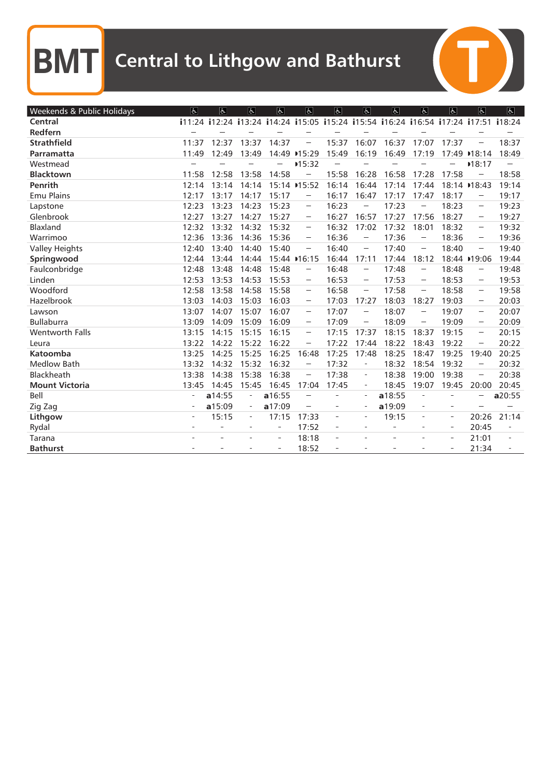$\overline{C}$ 

| Weekends & Public Holidays | $\overline{d}$ | $\overline{a}$                                                                      | $\overline{6}$           | $\sigma$ | $\overline{a}$                                                                                                                                                                                                                                                                                                                                                                                                                                                      | $\overline{b}$           | $\overline{a}$                                                                                                | $\overline{5}$ | $\overline{6}$                                                                                                                                                                                                                                                                                                                                                                                                                                                      | $\sigma$                 | $\overline{6}$                                                                                                               | $\overline{6}$ |
|----------------------------|----------------|-------------------------------------------------------------------------------------|--------------------------|----------|---------------------------------------------------------------------------------------------------------------------------------------------------------------------------------------------------------------------------------------------------------------------------------------------------------------------------------------------------------------------------------------------------------------------------------------------------------------------|--------------------------|---------------------------------------------------------------------------------------------------------------|----------------|---------------------------------------------------------------------------------------------------------------------------------------------------------------------------------------------------------------------------------------------------------------------------------------------------------------------------------------------------------------------------------------------------------------------------------------------------------------------|--------------------------|------------------------------------------------------------------------------------------------------------------------------|----------------|
| Central                    |                | i11:24 i12:24 i13:24 i14:24 i15:05 i15:24 i15:54 i16:24 i16:54 i17:24 i17:51 i18:24 |                          |          |                                                                                                                                                                                                                                                                                                                                                                                                                                                                     |                          |                                                                                                               |                |                                                                                                                                                                                                                                                                                                                                                                                                                                                                     |                          |                                                                                                                              |                |
| Redfern                    |                |                                                                                     |                          |          |                                                                                                                                                                                                                                                                                                                                                                                                                                                                     |                          |                                                                                                               |                |                                                                                                                                                                                                                                                                                                                                                                                                                                                                     |                          |                                                                                                                              |                |
| <b>Strathfield</b>         | 11:37          | 12:37                                                                               | 13:37                    | 14:37    |                                                                                                                                                                                                                                                                                                                                                                                                                                                                     | 15:37                    | 16:07                                                                                                         | 16:37          | 17:07                                                                                                                                                                                                                                                                                                                                                                                                                                                               | 17:37                    |                                                                                                                              | 18:37          |
| Parramatta                 | 11:49          | 12:49                                                                               | 13:49                    |          | 14:49 → 15:29                                                                                                                                                                                                                                                                                                                                                                                                                                                       | 15:49                    | 16:19                                                                                                         | 16:49          | 17:19                                                                                                                                                                                                                                                                                                                                                                                                                                                               |                          | 17:49 ▶18:14                                                                                                                 | 18:49          |
| Westmead                   |                |                                                                                     |                          |          | ■15:32                                                                                                                                                                                                                                                                                                                                                                                                                                                              |                          |                                                                                                               |                |                                                                                                                                                                                                                                                                                                                                                                                                                                                                     |                          | 18:17                                                                                                                        |                |
| <b>Blacktown</b>           | 11:58          | 12:58                                                                               | 13:58                    | 14:58    |                                                                                                                                                                                                                                                                                                                                                                                                                                                                     | 15:58                    | 16:28                                                                                                         | 16:58          | 17:28                                                                                                                                                                                                                                                                                                                                                                                                                                                               | 17:58                    |                                                                                                                              | 18:58          |
| Penrith                    | 12:14          | 13:14                                                                               | 14:14                    |          | 15:14 → 15:52                                                                                                                                                                                                                                                                                                                                                                                                                                                       | 16:14                    | 16:44                                                                                                         | 17:14          | 17:44                                                                                                                                                                                                                                                                                                                                                                                                                                                               |                          | 18:14 → 18:43                                                                                                                | 19:14          |
| <b>Emu Plains</b>          | 12:17          | 13:17                                                                               | 14:17                    | 15:17    | $\sim$                                                                                                                                                                                                                                                                                                                                                                                                                                                              | 16:17                    | 16:47                                                                                                         | 17:17          | 17:47                                                                                                                                                                                                                                                                                                                                                                                                                                                               | 18:17                    |                                                                                                                              | 19:17          |
| Lapstone                   | 12:23          | 13:23                                                                               | 14:23                    | 15:23    | $\frac{1}{2} \left( \frac{1}{2} \right)^{\frac{1}{2}} \left( \frac{1}{2} \right)^{\frac{1}{2}} \left( \frac{1}{2} \right)^{\frac{1}{2}} \left( \frac{1}{2} \right)^{\frac{1}{2}} \left( \frac{1}{2} \right)^{\frac{1}{2}} \left( \frac{1}{2} \right)^{\frac{1}{2}} \left( \frac{1}{2} \right)^{\frac{1}{2}} \left( \frac{1}{2} \right)^{\frac{1}{2}} \left( \frac{1}{2} \right)^{\frac{1}{2}} \left( \frac{1}{2} \right)^{\frac{1}{2}} \left( \frac{1}{2} \right)^$ | 16:23                    | $\sim$                                                                                                        | 17:23          | $\frac{1}{2} \left( \frac{1}{2} \right)^{\frac{1}{2}} \left( \frac{1}{2} \right)^{\frac{1}{2}} \left( \frac{1}{2} \right)^{\frac{1}{2}} \left( \frac{1}{2} \right)^{\frac{1}{2}} \left( \frac{1}{2} \right)^{\frac{1}{2}} \left( \frac{1}{2} \right)^{\frac{1}{2}} \left( \frac{1}{2} \right)^{\frac{1}{2}} \left( \frac{1}{2} \right)^{\frac{1}{2}} \left( \frac{1}{2} \right)^{\frac{1}{2}} \left( \frac{1}{2} \right)^{\frac{1}{2}} \left( \frac{1}{2} \right)^$ | 18:23                    | $\sim$                                                                                                                       | 19:23          |
| Glenbrook                  | 12:27          | 13:27                                                                               | 14:27                    | 15:27    | $\sim$                                                                                                                                                                                                                                                                                                                                                                                                                                                              | 16:27                    | 16:57                                                                                                         | 17:27          | 17:56                                                                                                                                                                                                                                                                                                                                                                                                                                                               | 18:27                    | $\sim$                                                                                                                       | 19:27          |
| Blaxland                   | 12:32          | 13:32                                                                               | 14:32                    | 15:32    | $\sim$                                                                                                                                                                                                                                                                                                                                                                                                                                                              | 16:32                    | 17:02                                                                                                         | 17:32          | 18:01                                                                                                                                                                                                                                                                                                                                                                                                                                                               | 18:32                    | $\sim$                                                                                                                       | 19:32          |
| Warrimoo                   | 12:36          | 13:36                                                                               | 14:36                    | 15:36    | $\sim$                                                                                                                                                                                                                                                                                                                                                                                                                                                              | 16:36                    |                                                                                                               | 17:36          | $\label{eq:1} \begin{aligned} \mathcal{L}_{\text{max}}(\mathbf{x}) = \mathcal{L}_{\text{max}}(\mathbf{x}) \end{aligned}$                                                                                                                                                                                                                                                                                                                                            | 18:36                    | $\sim$                                                                                                                       | 19:36          |
| <b>Valley Heights</b>      | 12:40          | 13:40                                                                               | 14:40                    | 15:40    | $\frac{1}{2} \left( \frac{1}{2} \right)^{\frac{1}{2}} \left( \frac{1}{2} \right)^{\frac{1}{2}} \left( \frac{1}{2} \right)^{\frac{1}{2}} \left( \frac{1}{2} \right)^{\frac{1}{2}} \left( \frac{1}{2} \right)^{\frac{1}{2}} \left( \frac{1}{2} \right)^{\frac{1}{2}} \left( \frac{1}{2} \right)^{\frac{1}{2}} \left( \frac{1}{2} \right)^{\frac{1}{2}} \left( \frac{1}{2} \right)^{\frac{1}{2}} \left( \frac{1}{2} \right)^{\frac{1}{2}} \left( \frac{1}{2} \right)^$ | 16:40                    | $\sim$                                                                                                        | 17:40          | $\sim$                                                                                                                                                                                                                                                                                                                                                                                                                                                              | 18:40                    | $\frac{1}{2}$                                                                                                                | 19:40          |
| Springwood                 | 12:44          | 13:44                                                                               | 14:44                    |          | 15:44 → 16:15                                                                                                                                                                                                                                                                                                                                                                                                                                                       | 16:44                    | 17:11                                                                                                         | 17:44          | 18:12                                                                                                                                                                                                                                                                                                                                                                                                                                                               |                          | 18:44 ▶19:06                                                                                                                 | 19:44          |
| Faulconbridge              | 12:48          | 13:48                                                                               | 14:48                    | 15:48    |                                                                                                                                                                                                                                                                                                                                                                                                                                                                     | 16:48                    | $\overline{a}$                                                                                                | 17:48          |                                                                                                                                                                                                                                                                                                                                                                                                                                                                     | 18:48                    |                                                                                                                              | 19:48          |
| Linden                     | 12:53          | 13:53                                                                               | 14:53                    | 15:53    | $\frac{1}{2} \sum_{i=1}^n \frac{1}{2} \sum_{i=1}^n \frac{1}{2} \sum_{i=1}^n \frac{1}{2} \sum_{i=1}^n \frac{1}{2} \sum_{i=1}^n \frac{1}{2} \sum_{i=1}^n \frac{1}{2} \sum_{i=1}^n \frac{1}{2} \sum_{i=1}^n \frac{1}{2} \sum_{i=1}^n \frac{1}{2} \sum_{i=1}^n \frac{1}{2} \sum_{i=1}^n \frac{1}{2} \sum_{i=1}^n \frac{1}{2} \sum_{i=1}^n \frac{1}{2} \sum_{i=$                                                                                                         | 16:53                    | $\label{eq:1} \begin{aligned} \mathcal{L}^{\text{max}}(\mathcal{L}^{\text{max}}_{\text{max}}), \end{aligned}$ | 17:53          |                                                                                                                                                                                                                                                                                                                                                                                                                                                                     | 18:53                    | $\sim$                                                                                                                       | 19:53          |
| Woodford                   | 12:58          | 13:58                                                                               | 14:58                    | 15:58    | $\overline{\phantom{a}}$                                                                                                                                                                                                                                                                                                                                                                                                                                            | 16:58                    | $\sim$                                                                                                        | 17:58          | $\sim$                                                                                                                                                                                                                                                                                                                                                                                                                                                              | 18:58                    | $\overline{\phantom{a}}$                                                                                                     | 19:58          |
| Hazelbrook                 | 13:03          | 14:03                                                                               | 15:03                    | 16:03    | $\sim$                                                                                                                                                                                                                                                                                                                                                                                                                                                              | 17:03                    | 17:27                                                                                                         | 18:03          | 18:27                                                                                                                                                                                                                                                                                                                                                                                                                                                               | 19:03                    | $\sim$                                                                                                                       | 20:03          |
| Lawson                     | 13:07          | 14:07                                                                               | 15:07                    | 16:07    | $\overline{\phantom{a}}$                                                                                                                                                                                                                                                                                                                                                                                                                                            | 17:07                    |                                                                                                               | 18:07          |                                                                                                                                                                                                                                                                                                                                                                                                                                                                     | 19:07                    | $\overline{\phantom{a}}$                                                                                                     | 20:07          |
| <b>Bullaburra</b>          | 13:09          | 14:09                                                                               | 15:09                    | 16:09    | $\sim$                                                                                                                                                                                                                                                                                                                                                                                                                                                              | 17:09                    |                                                                                                               | 18:09          |                                                                                                                                                                                                                                                                                                                                                                                                                                                                     | 19:09                    | $\label{eq:1} \begin{aligned} \mathcal{L}_{\text{G}}(t) = \mathcal{L}_{\text{G}}(t) \mathcal{L}_{\text{G}}(t) \end{aligned}$ | 20:09          |
| <b>Wentworth Falls</b>     | 13:15          | 14:15                                                                               | 15:15                    | 16:15    | $\overline{\phantom{a}}$                                                                                                                                                                                                                                                                                                                                                                                                                                            | 17:15                    | 17:37                                                                                                         | 18:15          | 18:37                                                                                                                                                                                                                                                                                                                                                                                                                                                               | 19:15                    | $\overline{\phantom{a}}$                                                                                                     | 20:15          |
| Leura                      | 13:22          | 14:22                                                                               | 15:22                    | 16:22    |                                                                                                                                                                                                                                                                                                                                                                                                                                                                     | 17:22                    | 17:44                                                                                                         | 18:22          | 18:43                                                                                                                                                                                                                                                                                                                                                                                                                                                               | 19:22                    |                                                                                                                              | 20:22          |
| Katoomba                   | 13:25          | 14:25                                                                               | 15:25                    | 16:25    | 16:48                                                                                                                                                                                                                                                                                                                                                                                                                                                               | 17:25                    | 17:48                                                                                                         | 18:25          | 18:47                                                                                                                                                                                                                                                                                                                                                                                                                                                               | 19:25                    | 19:40                                                                                                                        | 20:25          |
| <b>Medlow Bath</b>         | 13:32          | 14:32                                                                               | 15:32                    | 16:32    | $\frac{1}{2} \left( \frac{1}{2} \right)^{\frac{1}{2}} \left( \frac{1}{2} \right)^{\frac{1}{2}} \left( \frac{1}{2} \right)^{\frac{1}{2}} \left( \frac{1}{2} \right)^{\frac{1}{2}} \left( \frac{1}{2} \right)^{\frac{1}{2}} \left( \frac{1}{2} \right)^{\frac{1}{2}} \left( \frac{1}{2} \right)^{\frac{1}{2}} \left( \frac{1}{2} \right)^{\frac{1}{2}} \left( \frac{1}{2} \right)^{\frac{1}{2}} \left( \frac{1}{2} \right)^{\frac{1}{2}} \left( \frac{1}{2} \right)^$ | 17:32                    | ÷,                                                                                                            | 18:32          | 18:54                                                                                                                                                                                                                                                                                                                                                                                                                                                               | 19:32                    | $\sim$                                                                                                                       | 20:32          |
| Blackheath                 | 13:38          | 14:38                                                                               | 15:38                    | 16:38    | $\frac{1}{2} \left( \frac{1}{2} \right)^{\frac{1}{2}} \left( \frac{1}{2} \right)^{\frac{1}{2}} \left( \frac{1}{2} \right)^{\frac{1}{2}} \left( \frac{1}{2} \right)^{\frac{1}{2}} \left( \frac{1}{2} \right)^{\frac{1}{2}} \left( \frac{1}{2} \right)^{\frac{1}{2}} \left( \frac{1}{2} \right)^{\frac{1}{2}} \left( \frac{1}{2} \right)^{\frac{1}{2}} \left( \frac{1}{2} \right)^{\frac{1}{2}} \left( \frac{1}{2} \right)^{\frac{1}{2}} \left( \frac{1}{2} \right)^$ | 17:38                    | $\overline{\phantom{a}}$                                                                                      | 18:38          | 19:00                                                                                                                                                                                                                                                                                                                                                                                                                                                               | 19:38                    |                                                                                                                              | 20:38          |
| <b>Mount Victoria</b>      | 13:45          | 14:45                                                                               | 15:45                    | 16:45    | 17:04                                                                                                                                                                                                                                                                                                                                                                                                                                                               | 17:45                    | $\bar{ }$                                                                                                     | 18:45          | 19:07                                                                                                                                                                                                                                                                                                                                                                                                                                                               | 19:45                    | 20:00                                                                                                                        | 20:45          |
| Bell                       |                | a14:55                                                                              |                          | a16:55   |                                                                                                                                                                                                                                                                                                                                                                                                                                                                     |                          | $\overline{a}$                                                                                                | a18:55         |                                                                                                                                                                                                                                                                                                                                                                                                                                                                     |                          |                                                                                                                              | a20:55         |
| Zig Zag                    |                | a15:09                                                                              | $\equiv$                 | a17:09   |                                                                                                                                                                                                                                                                                                                                                                                                                                                                     | $\overline{\phantom{a}}$ | $\equiv$                                                                                                      | a19:09         | $\overline{\phantom{a}}$                                                                                                                                                                                                                                                                                                                                                                                                                                            | $\overline{\phantom{a}}$ |                                                                                                                              |                |
| Lithgow                    |                | 15:15                                                                               | $\overline{\phantom{a}}$ | 17:15    | 17:33                                                                                                                                                                                                                                                                                                                                                                                                                                                               |                          | $\overline{\phantom{a}}$                                                                                      | 19:15          |                                                                                                                                                                                                                                                                                                                                                                                                                                                                     | $\overline{\phantom{a}}$ | 20:26                                                                                                                        | 21:14          |
| Rydal                      |                | $\overline{a}$                                                                      | $\overline{a}$           | ÷.       | 17:52                                                                                                                                                                                                                                                                                                                                                                                                                                                               | $\sim$                   |                                                                                                               | $\overline{a}$ |                                                                                                                                                                                                                                                                                                                                                                                                                                                                     | $\overline{a}$           | 20:45                                                                                                                        |                |
| Tarana                     |                |                                                                                     |                          | ä,       | 18:18                                                                                                                                                                                                                                                                                                                                                                                                                                                               |                          |                                                                                                               |                |                                                                                                                                                                                                                                                                                                                                                                                                                                                                     | $\overline{\phantom{a}}$ | 21:01                                                                                                                        |                |
| <b>Bathurst</b>            |                |                                                                                     |                          | $\equiv$ | 18:52                                                                                                                                                                                                                                                                                                                                                                                                                                                               |                          |                                                                                                               |                |                                                                                                                                                                                                                                                                                                                                                                                                                                                                     | $\overline{\phantom{a}}$ | 21:34                                                                                                                        |                |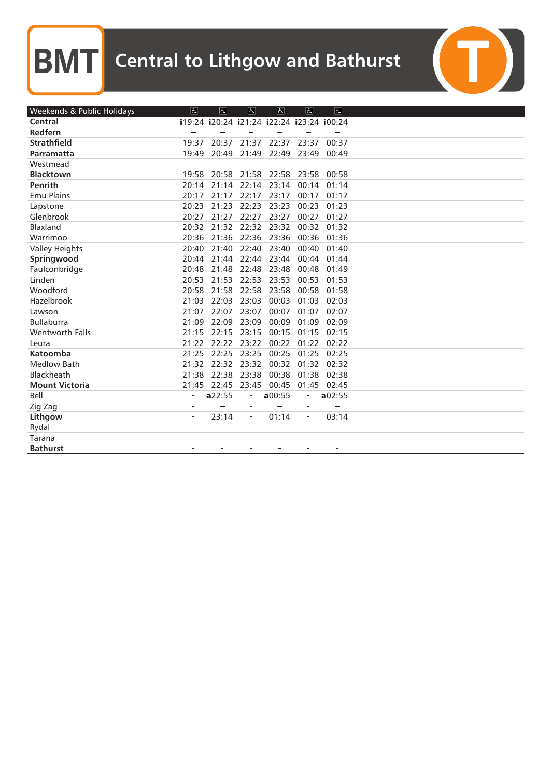$\overline{C}$ 

| Weekends & Public Holidays | $\overline{d}$ | $\overline{d}$ | $\overline{a}$                            | $\overline{d}$ | $\overline{d}$           | $\overline{f}$ |  |
|----------------------------|----------------|----------------|-------------------------------------------|----------------|--------------------------|----------------|--|
| Central                    |                |                | i19:24 i20:24 i21:24 i22:24 i23:24 i00:24 |                |                          |                |  |
| Redfern                    |                |                |                                           |                |                          |                |  |
| <b>Strathfield</b>         | 19:37          | 20:37          | 21:37                                     | 22:37          | 23:37                    | 00:37          |  |
| Parramatta                 | 19:49          | 20:49          | 21:49                                     | 22:49          | 23:49                    | 00:49          |  |
| Westmead                   |                |                |                                           |                |                          |                |  |
| <b>Blacktown</b>           | 19:58          | 20:58          | 21:58                                     | 22:58          | 23:58                    | 00:58          |  |
| Penrith                    | 20:14          | 21:14          | 22:14                                     | 23:14          | 00:14                    | 01:14          |  |
| <b>Emu Plains</b>          | 20:17          | 21:17          | 22:17                                     | 23:17          | 00:17                    | 01:17          |  |
| Lapstone                   | 20:23          | 21:23          | 22:23                                     | 23:23          | 00:23                    | 01:23          |  |
| Glenbrook                  | 20:27          | 21:27          | 22:27                                     | 23:27          | 00:27                    | 01:27          |  |
| Blaxland                   | 20:32          |                | 21:32 22:32                               | 23:32          | 00:32                    | 01:32          |  |
| Warrimoo                   | 20:36          | 21:36          | 22:36                                     | 23:36          | 00:36                    | 01:36          |  |
| <b>Valley Heights</b>      | 20:40          | 21:40          | 22:40                                     | 23:40          | 00:40                    | 01:40          |  |
| Springwood                 | 20:44          | 21:44          | 22:44                                     | 23:44          | 00:44                    | 01:44          |  |
| Faulconbridge              | 20:48          | 21:48          | 22:48                                     | 23:48          | 00:48                    | 01:49          |  |
| Linden                     | 20:53          | 21:53          | 22:53                                     | 23:53          | 00:53                    | 01:53          |  |
| Woodford                   | 20:58          | 21:58          | 22:58                                     | 23:58          | 00:58                    | 01:58          |  |
| Hazelbrook                 | 21:03          | 22:03          | 23:03                                     | 00:03          | 01:03                    | 02:03          |  |
| Lawson                     | 21:07          | 22:07          | 23:07                                     | 00:07          | 01:07                    | 02:07          |  |
| <b>Bullaburra</b>          | 21:09          | 22:09          | 23:09                                     | 00:09          | 01:09                    | 02:09          |  |
| Wentworth Falls            | 21:15          | 22:15          | 23:15                                     | 00:15          | 01:15                    | 02:15          |  |
| Leura                      | 21:22          | 22:22          | 23:22                                     | 00:22          | 01:22                    | 02:22          |  |
| Katoomba                   | 21:25          | 22:25          | 23:25                                     | 00:25          | 01:25                    | 02:25          |  |
| <b>Medlow Bath</b>         | 21:32          |                | 22:32 23:32                               | 00:32          | 01:32                    | 02:32          |  |
| Blackheath                 | 21:38          | 22:38          | 23:38                                     | 00:38          | 01:38                    | 02:38          |  |
| <b>Mount Victoria</b>      | 21:45          | 22:45          | 23:45                                     | 00:45          | 01:45                    | 02:45          |  |
| Bell                       |                | a22:55         |                                           | a00:55         |                          | a02:55         |  |
| Zig Zag                    | ÷,             |                | $\sim$                                    |                | $\overline{\phantom{a}}$ |                |  |
| Lithgow                    |                | 23:14          | $\overline{\phantom{a}}$                  | 01:14          | $\overline{\phantom{a}}$ | 03:14          |  |
| Rydal                      |                | $\sim$         |                                           | ä,             |                          | ÷              |  |
| Tarana                     |                |                |                                           |                |                          |                |  |
| <b>Bathurst</b>            |                |                |                                           |                |                          |                |  |